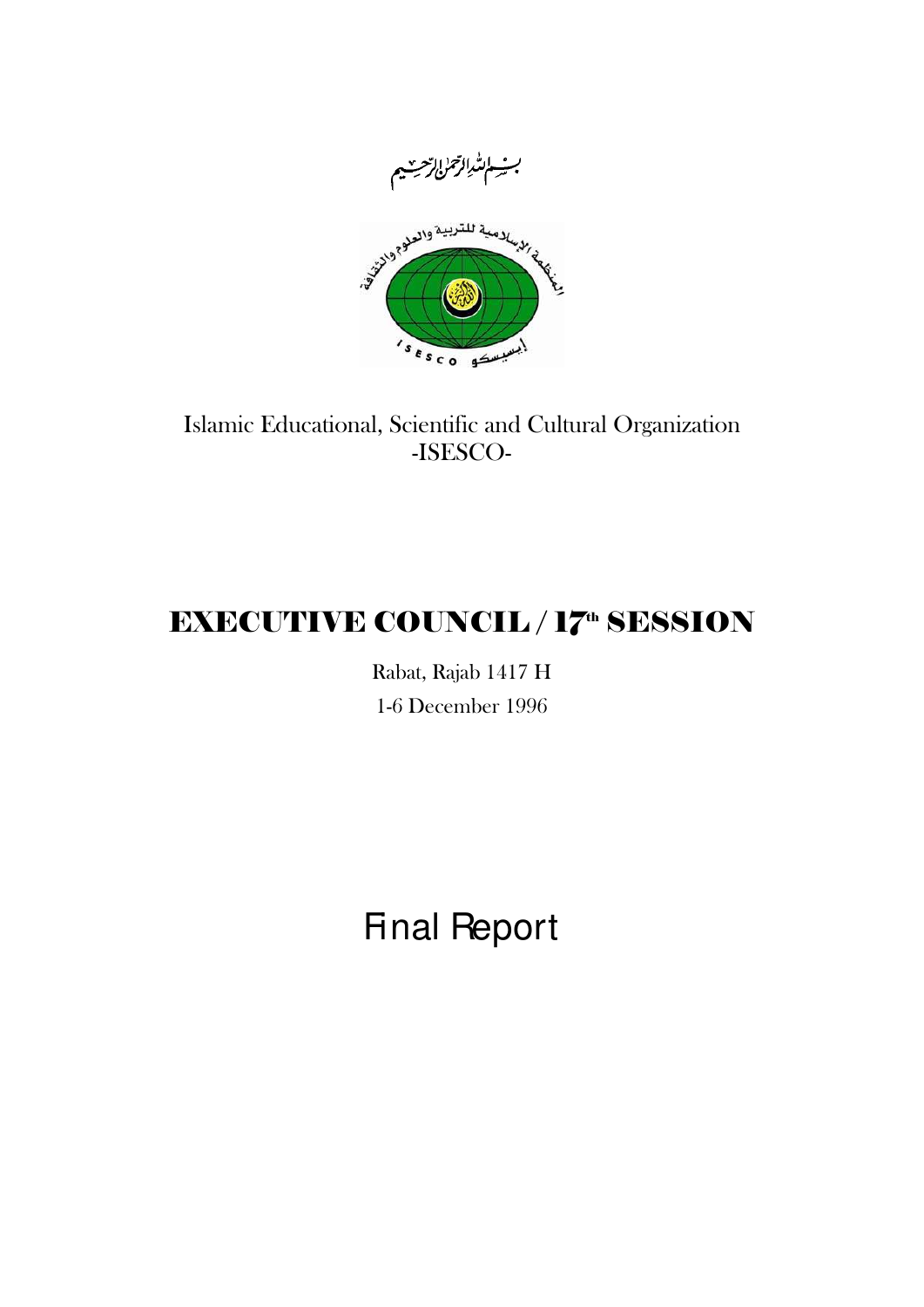

# Islamic Educational, Scientific and Cultural Organization -ISESCO-

# **EXECUTIVE COUNCIL / 17th SESSION**

Rabat, Rajab 1417 H 1-6 December 1996

Final Report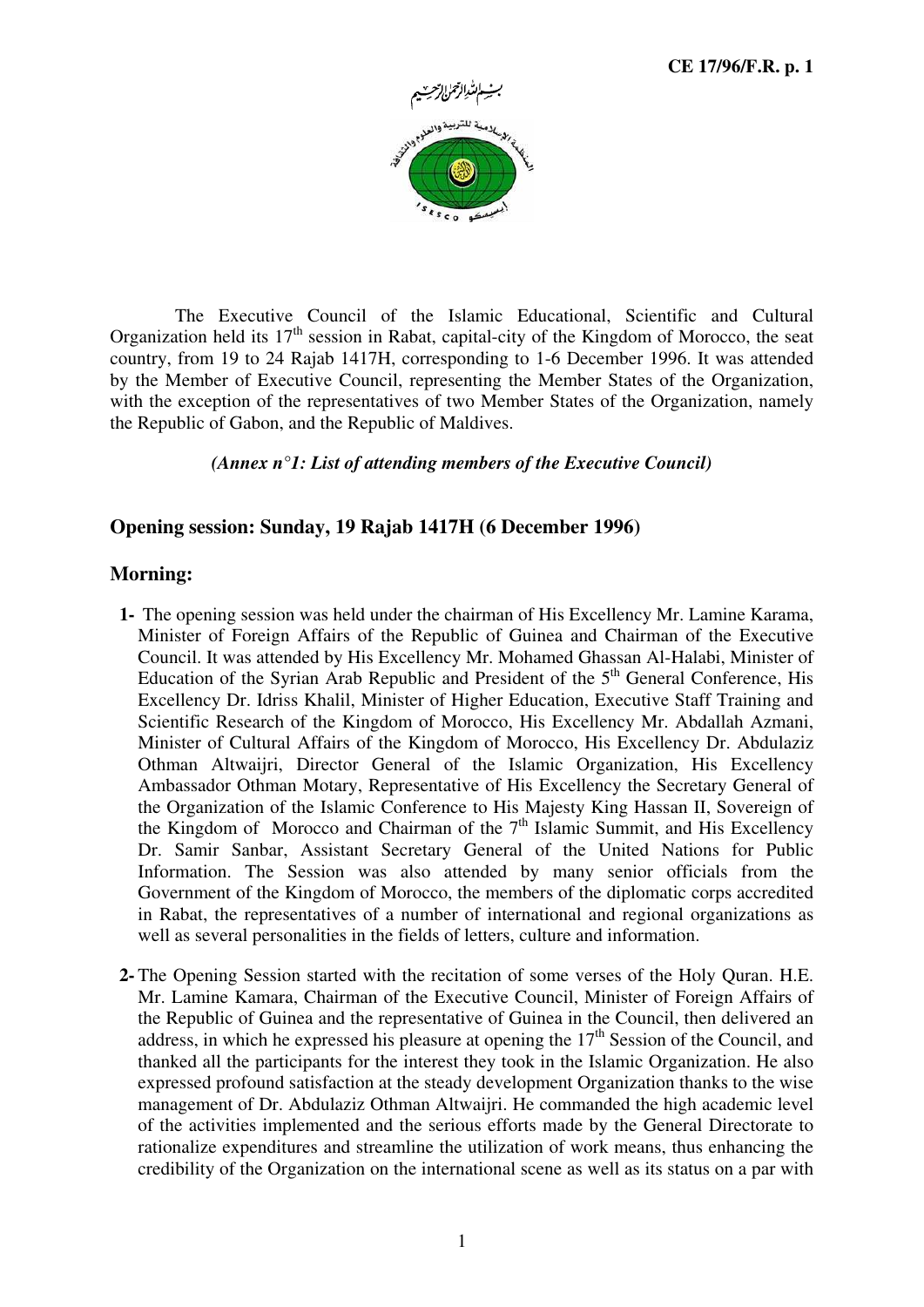

The Executive Council of the Islamic Educational, Scientific and Cultural Organization held its  $17<sup>th</sup>$  session in Rabat, capital-city of the Kingdom of Morocco, the seat country, from 19 to 24 Rajab 1417H, corresponding to 1-6 December 1996. It was attended by the Member of Executive Council, representing the Member States of the Organization, with the exception of the representatives of two Member States of the Organization, namely the Republic of Gabon, and the Republic of Maldives.

#### *(Annex n°1: List of attending members of the Executive Council)*

#### **Opening session: Sunday, 19 Rajab 1417H (6 December 1996)**

#### **Morning:**

- **1-** The opening session was held under the chairman of His Excellency Mr. Lamine Karama, Minister of Foreign Affairs of the Republic of Guinea and Chairman of the Executive Council. It was attended by His Excellency Mr. Mohamed Ghassan Al-Halabi, Minister of Education of the Syrian Arab Republic and President of the  $5<sup>th</sup>$  General Conference, His Excellency Dr. Idriss Khalil, Minister of Higher Education, Executive Staff Training and Scientific Research of the Kingdom of Morocco, His Excellency Mr. Abdallah Azmani, Minister of Cultural Affairs of the Kingdom of Morocco, His Excellency Dr. Abdulaziz Othman Altwaijri, Director General of the Islamic Organization, His Excellency Ambassador Othman Motary, Representative of His Excellency the Secretary General of the Organization of the Islamic Conference to His Majesty King Hassan II, Sovereign of the Kingdom of Morocco and Chairman of the  $7<sup>th</sup>$  Islamic Summit, and His Excellency Dr. Samir Sanbar, Assistant Secretary General of the United Nations for Public Information. The Session was also attended by many senior officials from the Government of the Kingdom of Morocco, the members of the diplomatic corps accredited in Rabat, the representatives of a number of international and regional organizations as well as several personalities in the fields of letters, culture and information.
- **2-** The Opening Session started with the recitation of some verses of the Holy Quran. H.E. Mr. Lamine Kamara, Chairman of the Executive Council, Minister of Foreign Affairs of the Republic of Guinea and the representative of Guinea in the Council, then delivered an address, in which he expressed his pleasure at opening the  $17<sup>th</sup>$  Session of the Council, and thanked all the participants for the interest they took in the Islamic Organization. He also expressed profound satisfaction at the steady development Organization thanks to the wise management of Dr. Abdulaziz Othman Altwaijri. He commanded the high academic level of the activities implemented and the serious efforts made by the General Directorate to rationalize expenditures and streamline the utilization of work means, thus enhancing the credibility of the Organization on the international scene as well as its status on a par with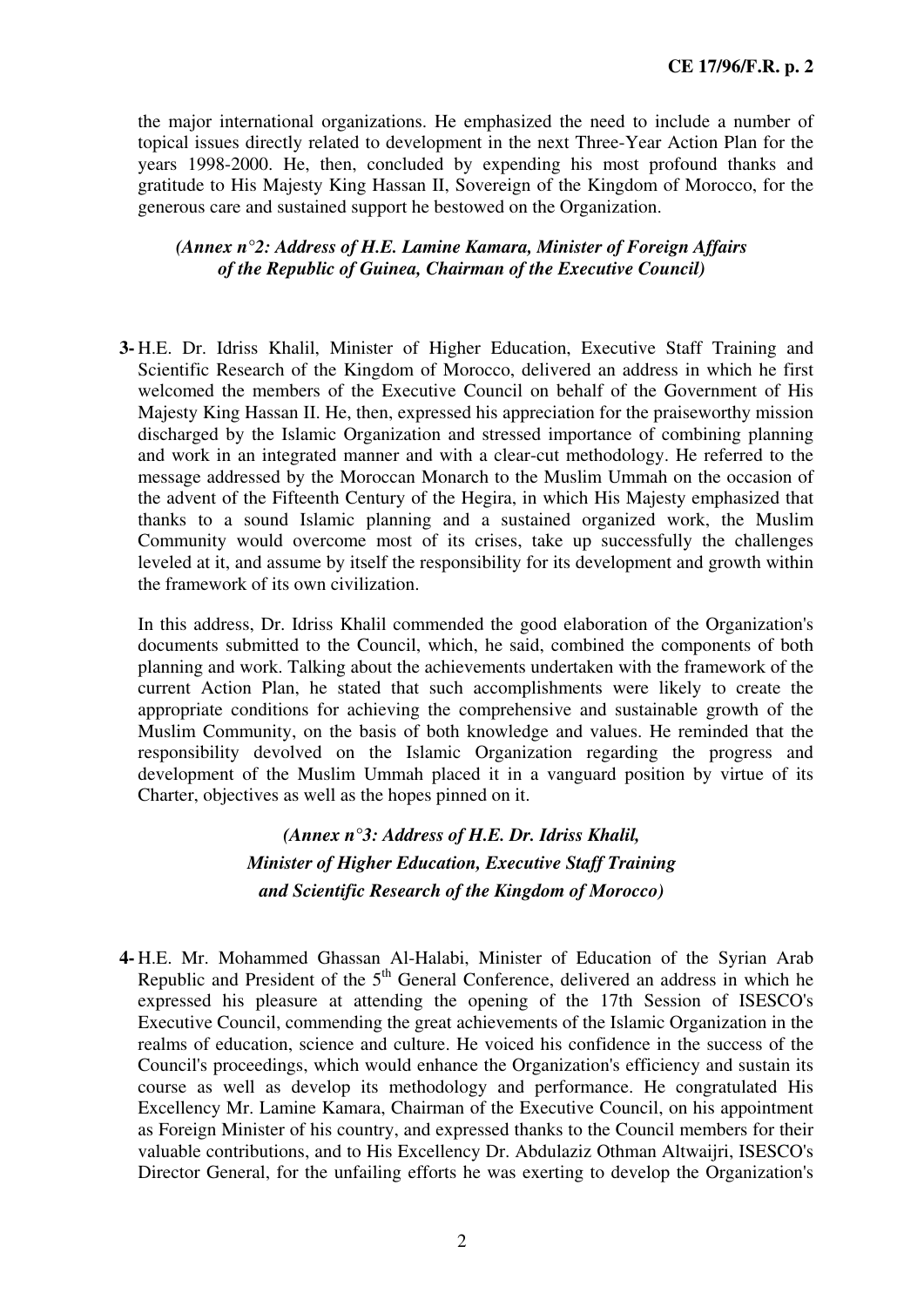the major international organizations. He emphasized the need to include a number of topical issues directly related to development in the next Three-Year Action Plan for the years 1998-2000. He, then, concluded by expending his most profound thanks and gratitude to His Majesty King Hassan II, Sovereign of the Kingdom of Morocco, for the generous care and sustained support he bestowed on the Organization.

#### *(Annex n°2: Address of H.E. Lamine Kamara, Minister of Foreign Affairs of the Republic of Guinea, Chairman of the Executive Council)*

**3-** H.E. Dr. Idriss Khalil, Minister of Higher Education, Executive Staff Training and Scientific Research of the Kingdom of Morocco, delivered an address in which he first welcomed the members of the Executive Council on behalf of the Government of His Majesty King Hassan II. He, then, expressed his appreciation for the praiseworthy mission discharged by the Islamic Organization and stressed importance of combining planning and work in an integrated manner and with a clear-cut methodology. He referred to the message addressed by the Moroccan Monarch to the Muslim Ummah on the occasion of the advent of the Fifteenth Century of the Hegira, in which His Majesty emphasized that thanks to a sound Islamic planning and a sustained organized work, the Muslim Community would overcome most of its crises, take up successfully the challenges leveled at it, and assume by itself the responsibility for its development and growth within the framework of its own civilization.

In this address, Dr. Idriss Khalil commended the good elaboration of the Organization's documents submitted to the Council, which, he said, combined the components of both planning and work. Talking about the achievements undertaken with the framework of the current Action Plan, he stated that such accomplishments were likely to create the appropriate conditions for achieving the comprehensive and sustainable growth of the Muslim Community, on the basis of both knowledge and values. He reminded that the responsibility devolved on the Islamic Organization regarding the progress and development of the Muslim Ummah placed it in a vanguard position by virtue of its Charter, objectives as well as the hopes pinned on it.

### *(Annex n°3: Address of H.E. Dr. Idriss Khalil, Minister of Higher Education, Executive Staff Training and Scientific Research of the Kingdom of Morocco)*

**4-** H.E. Mr. Mohammed Ghassan Al-Halabi, Minister of Education of the Syrian Arab Republic and President of the  $5<sup>th</sup>$  General Conference, delivered an address in which he expressed his pleasure at attending the opening of the 17th Session of ISESCO's Executive Council, commending the great achievements of the Islamic Organization in the realms of education, science and culture. He voiced his confidence in the success of the Council's proceedings, which would enhance the Organization's efficiency and sustain its course as well as develop its methodology and performance. He congratulated His Excellency Mr. Lamine Kamara, Chairman of the Executive Council, on his appointment as Foreign Minister of his country, and expressed thanks to the Council members for their valuable contributions, and to His Excellency Dr. Abdulaziz Othman Altwaijri, ISESCO's Director General, for the unfailing efforts he was exerting to develop the Organization's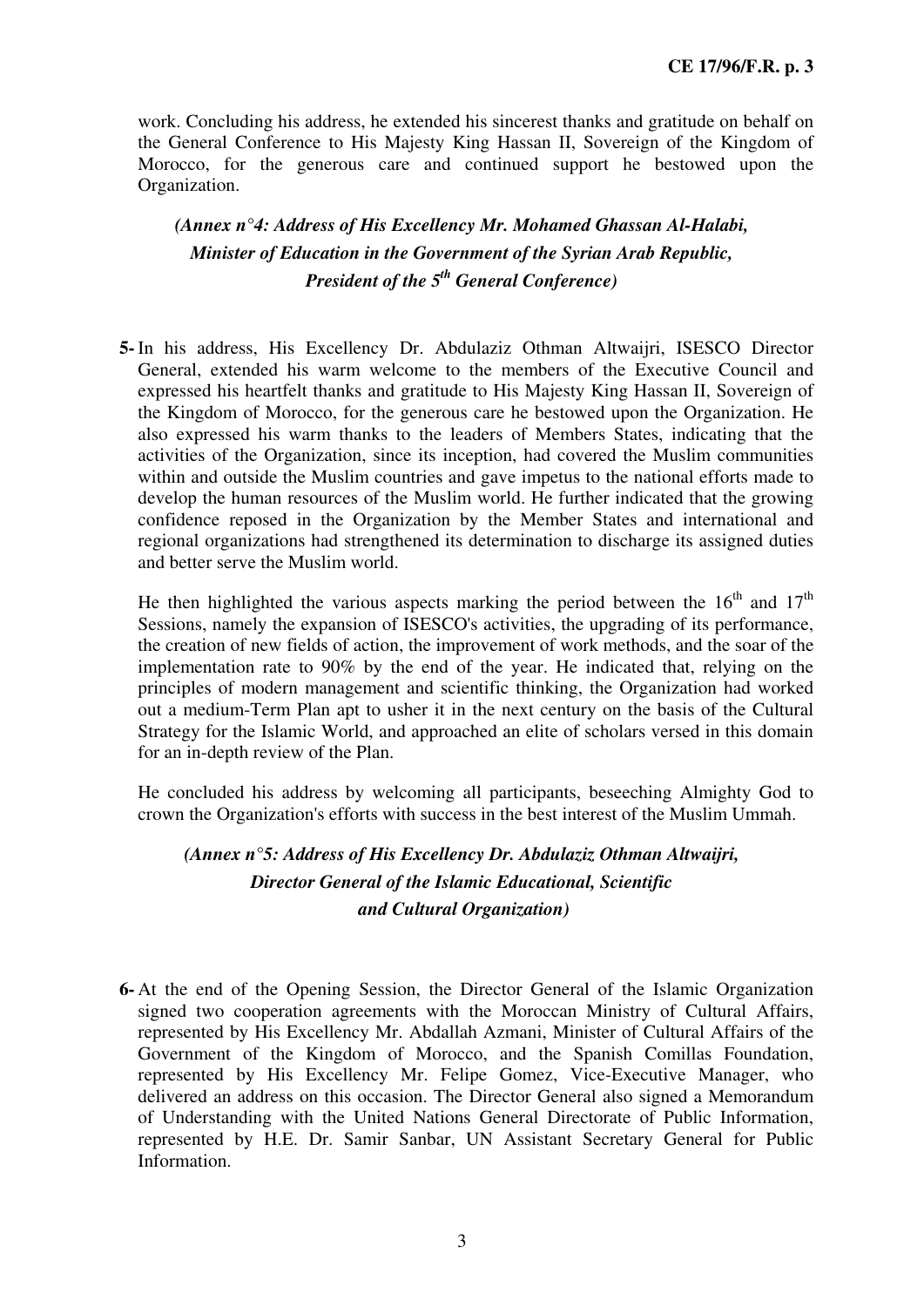work. Concluding his address, he extended his sincerest thanks and gratitude on behalf on the General Conference to His Majesty King Hassan II, Sovereign of the Kingdom of Morocco, for the generous care and continued support he bestowed upon the Organization.

### *(Annex n°4: Address of His Excellency Mr. Mohamed Ghassan Al-Halabi, Minister of Education in the Government of the Syrian Arab Republic, President of the 5th General Conference)*

**5-** In his address, His Excellency Dr. Abdulaziz Othman Altwaijri, ISESCO Director General, extended his warm welcome to the members of the Executive Council and expressed his heartfelt thanks and gratitude to His Majesty King Hassan II, Sovereign of the Kingdom of Morocco, for the generous care he bestowed upon the Organization. He also expressed his warm thanks to the leaders of Members States, indicating that the activities of the Organization, since its inception, had covered the Muslim communities within and outside the Muslim countries and gave impetus to the national efforts made to develop the human resources of the Muslim world. He further indicated that the growing confidence reposed in the Organization by the Member States and international and regional organizations had strengthened its determination to discharge its assigned duties and better serve the Muslim world.

He then highlighted the various aspects marking the period between the  $16<sup>th</sup>$  and  $17<sup>th</sup>$ Sessions, namely the expansion of ISESCO's activities, the upgrading of its performance, the creation of new fields of action, the improvement of work methods, and the soar of the implementation rate to 90% by the end of the year. He indicated that, relying on the principles of modern management and scientific thinking, the Organization had worked out a medium-Term Plan apt to usher it in the next century on the basis of the Cultural Strategy for the Islamic World, and approached an elite of scholars versed in this domain for an in-depth review of the Plan.

He concluded his address by welcoming all participants, beseeching Almighty God to crown the Organization's efforts with success in the best interest of the Muslim Ummah.

### *(Annex n°5: Address of His Excellency Dr. Abdulaziz Othman Altwaijri, Director General of the Islamic Educational, Scientific and Cultural Organization)*

**6-** At the end of the Opening Session, the Director General of the Islamic Organization signed two cooperation agreements with the Moroccan Ministry of Cultural Affairs, represented by His Excellency Mr. Abdallah Azmani, Minister of Cultural Affairs of the Government of the Kingdom of Morocco, and the Spanish Comillas Foundation, represented by His Excellency Mr. Felipe Gomez, Vice-Executive Manager, who delivered an address on this occasion. The Director General also signed a Memorandum of Understanding with the United Nations General Directorate of Public Information, represented by H.E. Dr. Samir Sanbar, UN Assistant Secretary General for Public Information.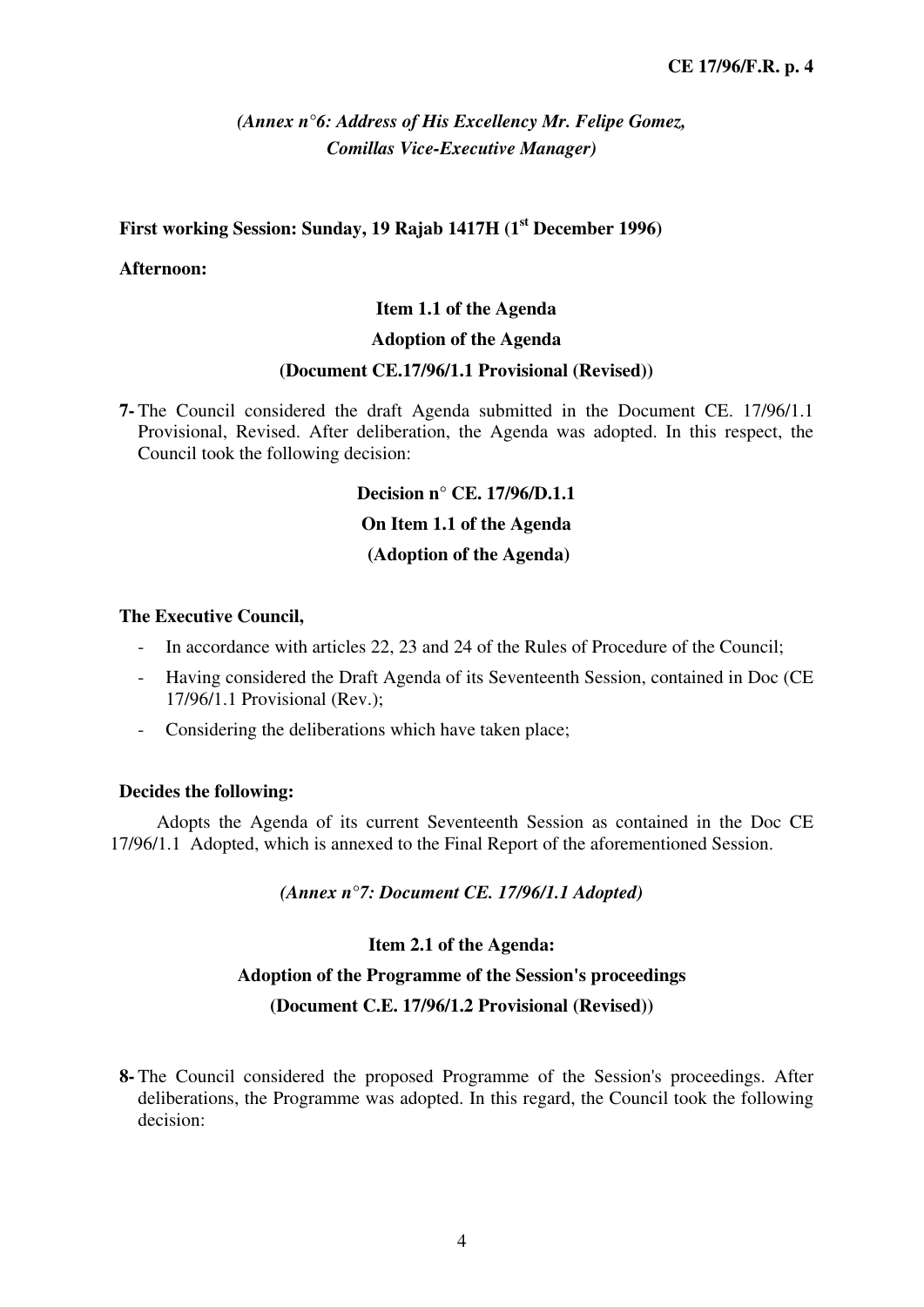### *(Annex n°6: Address of His Excellency Mr. Felipe Gomez, Comillas Vice-Executive Manager)*

#### **First working Session: Sunday, 19 Rajab 1417H (1st December 1996)**

#### **Afternoon:**

#### **Item 1.1 of the Agenda**

#### **Adoption of the Agenda**

#### **(Document CE.17/96/1.1 Provisional (Revised))**

**7-** The Council considered the draft Agenda submitted in the Document CE. 17/96/1.1 Provisional, Revised. After deliberation, the Agenda was adopted. In this respect, the Council took the following decision:

#### **Decision n° CE. 17/96/D.1.1**

#### **On Item 1.1 of the Agenda**

#### **(Adoption of the Agenda)**

#### **The Executive Council,**

- In accordance with articles 22, 23 and 24 of the Rules of Procedure of the Council;
- Having considered the Draft Agenda of its Seventeenth Session, contained in Doc (CE 17/96/1.1 Provisional (Rev.);
- Considering the deliberations which have taken place;

#### **Decides the following:**

Adopts the Agenda of its current Seventeenth Session as contained in the Doc CE 17/96/1.1 Adopted, which is annexed to the Final Report of the aforementioned Session.

#### *(Annex n°7: Document CE. 17/96/1.1 Adopted)*

#### **Item 2.1 of the Agenda:**

#### **Adoption of the Programme of the Session's proceedings**

#### **(Document C.E. 17/96/1.2 Provisional (Revised))**

**8-** The Council considered the proposed Programme of the Session's proceedings. After deliberations, the Programme was adopted. In this regard, the Council took the following decision: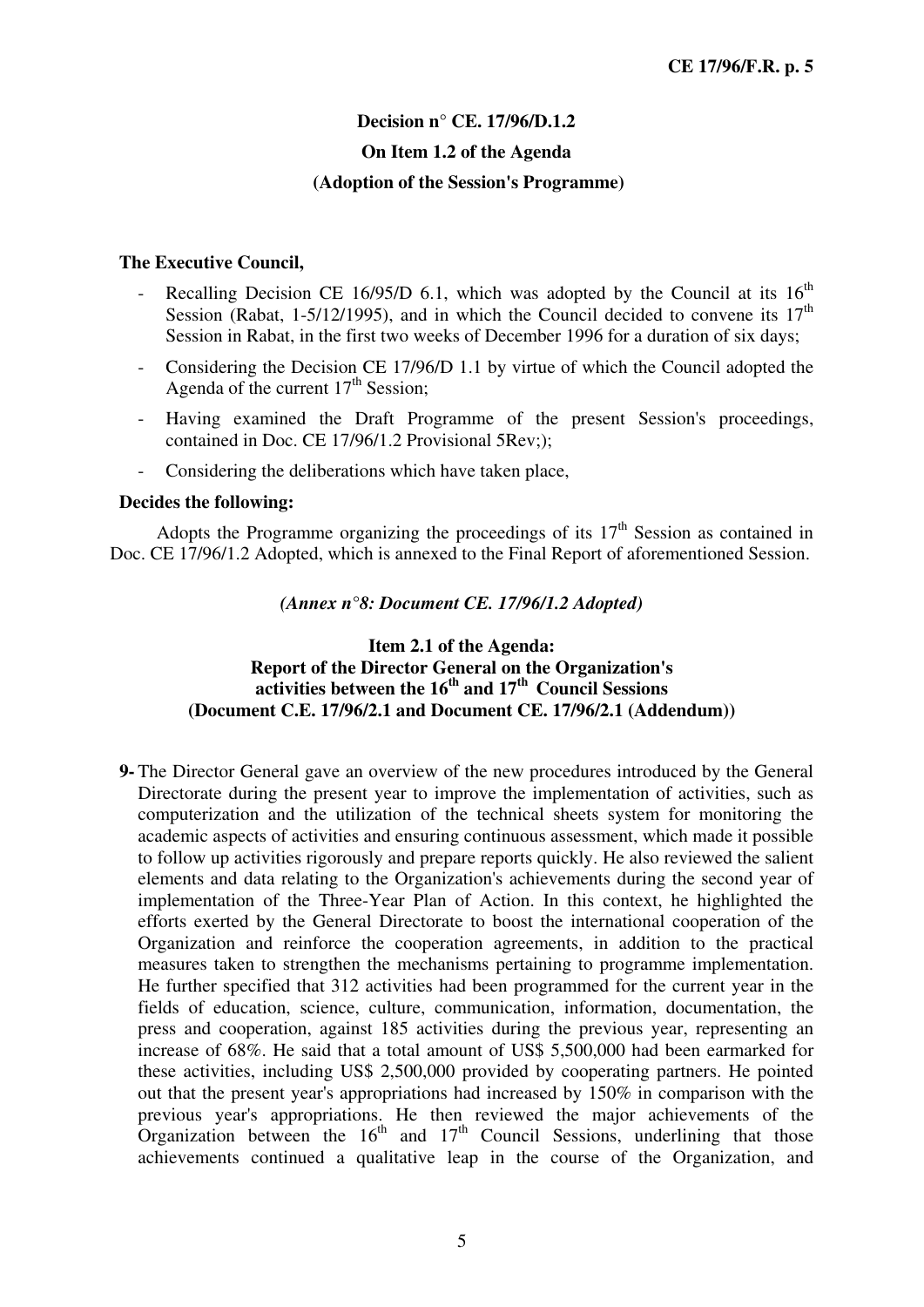### **Decision n° CE. 17/96/D.1.2 On Item 1.2 of the Agenda (Adoption of the Session's Programme)**

#### **The Executive Council,**

- Recalling Decision CE 16/95/D 6.1, which was adopted by the Council at its  $16<sup>th</sup>$ Session (Rabat, 1-5/12/1995), and in which the Council decided to convene its  $17<sup>th</sup>$ Session in Rabat, in the first two weeks of December 1996 for a duration of six days;
- Considering the Decision CE 17/96/D 1.1 by virtue of which the Council adopted the Agenda of the current  $17<sup>th</sup>$  Session;
- Having examined the Draft Programme of the present Session's proceedings, contained in Doc. CE 17/96/1.2 Provisional 5Rev;);
- Considering the deliberations which have taken place,

#### **Decides the following:**

Adopts the Programme organizing the proceedings of its  $17<sup>th</sup>$  Session as contained in Doc. CE 17/96/1.2 Adopted, which is annexed to the Final Report of aforementioned Session.

*(Annex n°8: Document CE. 17/96/1.2 Adopted)* 

#### **Item 2.1 of the Agenda: Report of the Director General on the Organization's activities between the 16th and 17th Council Sessions (Document C.E. 17/96/2.1 and Document CE. 17/96/2.1 (Addendum))**

**9-** The Director General gave an overview of the new procedures introduced by the General Directorate during the present year to improve the implementation of activities, such as computerization and the utilization of the technical sheets system for monitoring the academic aspects of activities and ensuring continuous assessment, which made it possible to follow up activities rigorously and prepare reports quickly. He also reviewed the salient elements and data relating to the Organization's achievements during the second year of implementation of the Three-Year Plan of Action. In this context, he highlighted the efforts exerted by the General Directorate to boost the international cooperation of the Organization and reinforce the cooperation agreements, in addition to the practical measures taken to strengthen the mechanisms pertaining to programme implementation. He further specified that 312 activities had been programmed for the current year in the fields of education, science, culture, communication, information, documentation, the press and cooperation, against 185 activities during the previous year, representing an increase of 68%. He said that a total amount of US\$ 5,500,000 had been earmarked for these activities, including US\$ 2,500,000 provided by cooperating partners. He pointed out that the present year's appropriations had increased by 150% in comparison with the previous year's appropriations. He then reviewed the major achievements of the Organization between the  $16<sup>th</sup>$  and  $17<sup>th</sup>$  Council Sessions, underlining that those achievements continued a qualitative leap in the course of the Organization, and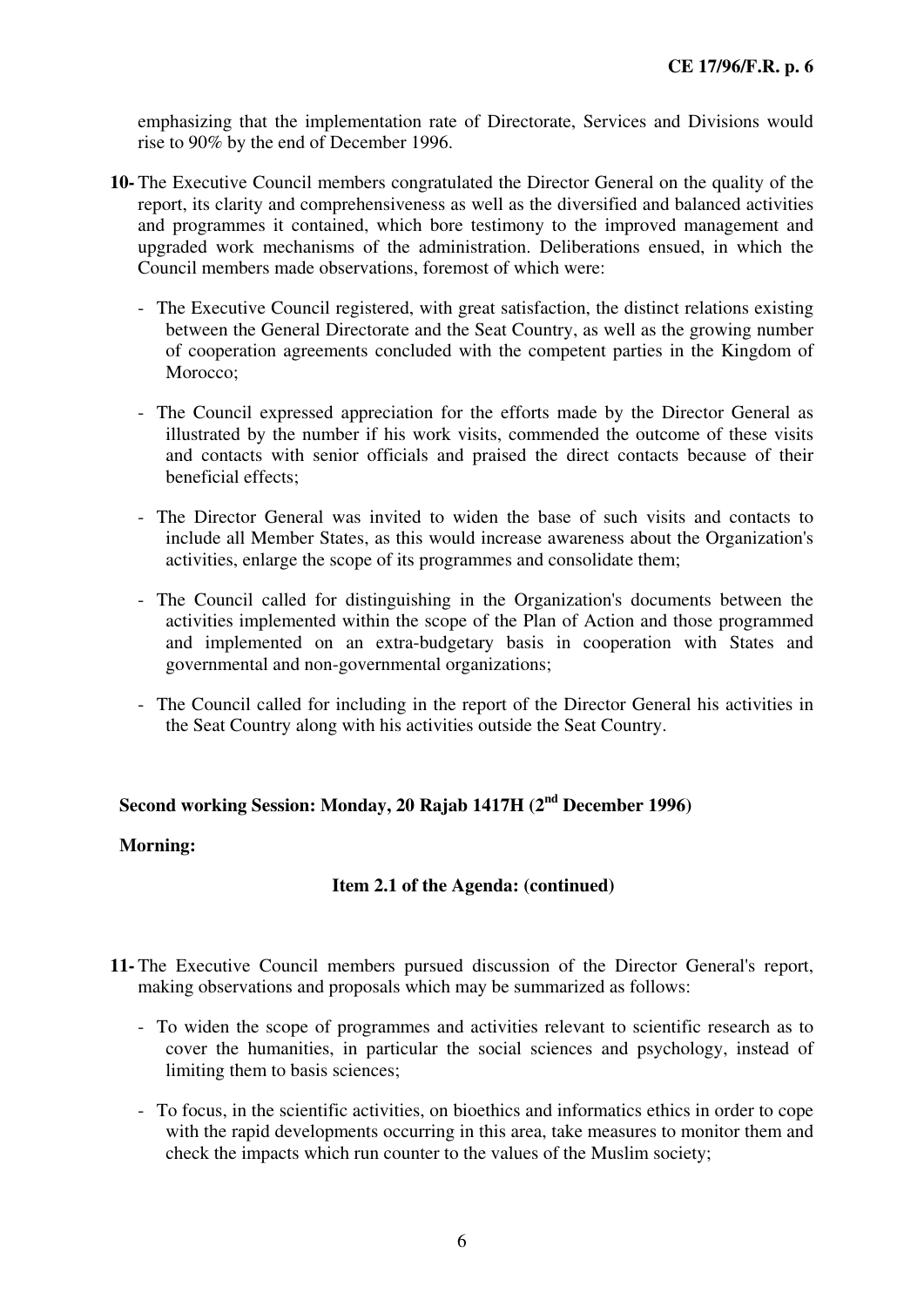emphasizing that the implementation rate of Directorate, Services and Divisions would rise to 90% by the end of December 1996.

- **10-** The Executive Council members congratulated the Director General on the quality of the report, its clarity and comprehensiveness as well as the diversified and balanced activities and programmes it contained, which bore testimony to the improved management and upgraded work mechanisms of the administration. Deliberations ensued, in which the Council members made observations, foremost of which were:
	- The Executive Council registered, with great satisfaction, the distinct relations existing between the General Directorate and the Seat Country, as well as the growing number of cooperation agreements concluded with the competent parties in the Kingdom of Morocco:
	- The Council expressed appreciation for the efforts made by the Director General as illustrated by the number if his work visits, commended the outcome of these visits and contacts with senior officials and praised the direct contacts because of their beneficial effects;
	- The Director General was invited to widen the base of such visits and contacts to include all Member States, as this would increase awareness about the Organization's activities, enlarge the scope of its programmes and consolidate them;
	- The Council called for distinguishing in the Organization's documents between the activities implemented within the scope of the Plan of Action and those programmed and implemented on an extra-budgetary basis in cooperation with States and governmental and non-governmental organizations;
	- The Council called for including in the report of the Director General his activities in the Seat Country along with his activities outside the Seat Country.

### **Second working Session: Monday, 20 Rajab 1417H (2nd December 1996)**

#### **Morning:**

#### **Item 2.1 of the Agenda: (continued)**

- **11-** The Executive Council members pursued discussion of the Director General's report, making observations and proposals which may be summarized as follows:
	- To widen the scope of programmes and activities relevant to scientific research as to cover the humanities, in particular the social sciences and psychology, instead of limiting them to basis sciences;
	- To focus, in the scientific activities, on bioethics and informatics ethics in order to cope with the rapid developments occurring in this area, take measures to monitor them and check the impacts which run counter to the values of the Muslim society;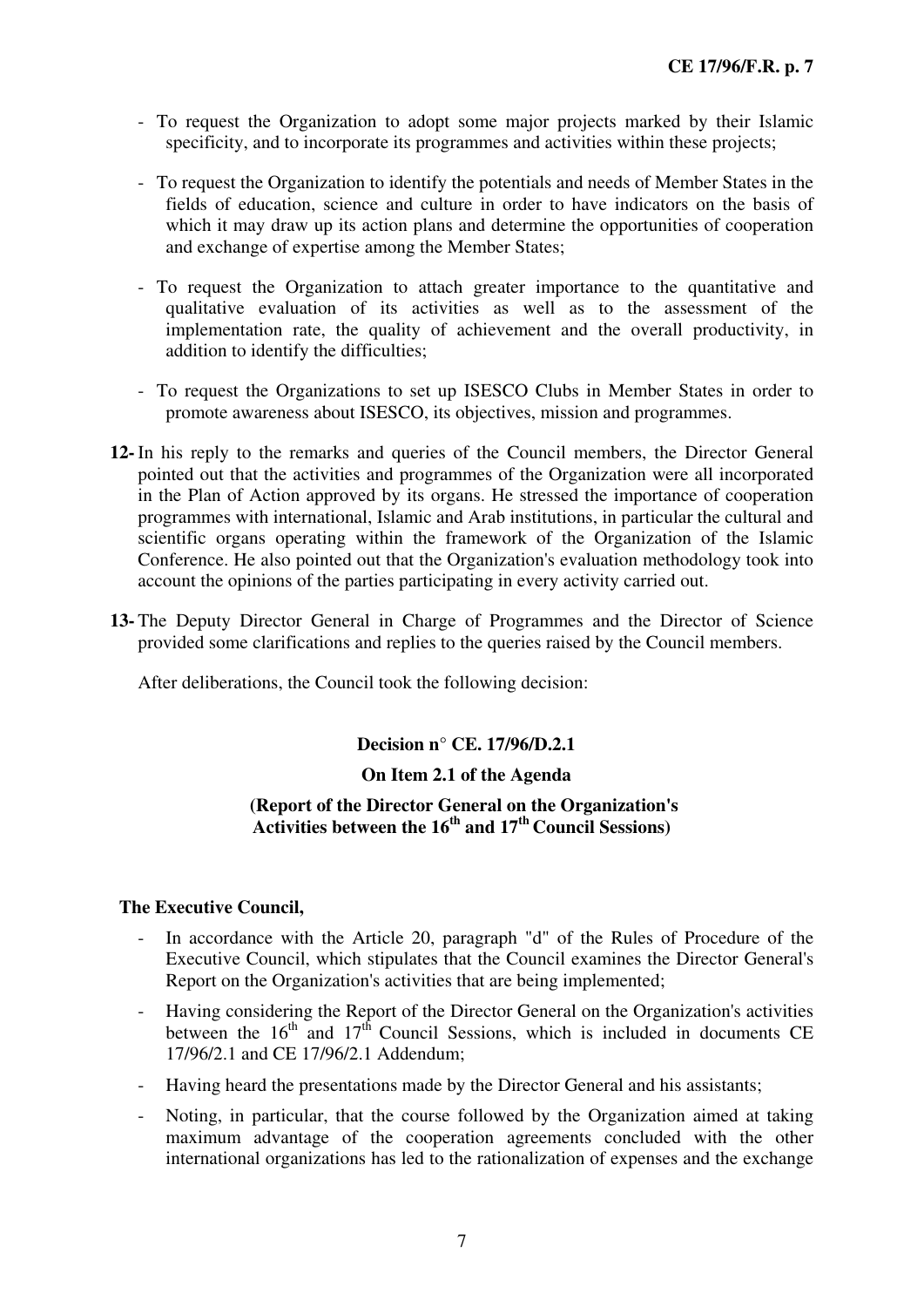- To request the Organization to adopt some major projects marked by their Islamic specificity, and to incorporate its programmes and activities within these projects;
- To request the Organization to identify the potentials and needs of Member States in the fields of education, science and culture in order to have indicators on the basis of which it may draw up its action plans and determine the opportunities of cooperation and exchange of expertise among the Member States;
- To request the Organization to attach greater importance to the quantitative and qualitative evaluation of its activities as well as to the assessment of the implementation rate, the quality of achievement and the overall productivity, in addition to identify the difficulties;
- To request the Organizations to set up ISESCO Clubs in Member States in order to promote awareness about ISESCO, its objectives, mission and programmes.
- **12-** In his reply to the remarks and queries of the Council members, the Director General pointed out that the activities and programmes of the Organization were all incorporated in the Plan of Action approved by its organs. He stressed the importance of cooperation programmes with international, Islamic and Arab institutions, in particular the cultural and scientific organs operating within the framework of the Organization of the Islamic Conference. He also pointed out that the Organization's evaluation methodology took into account the opinions of the parties participating in every activity carried out.
- **13-** The Deputy Director General in Charge of Programmes and the Director of Science provided some clarifications and replies to the queries raised by the Council members.

After deliberations, the Council took the following decision:

#### **Decision n° CE. 17/96/D.2.1**

#### **On Item 2.1 of the Agenda**

#### **(Report of the Director General on the Organization's Activities between the 16th and 17th Council Sessions)**

- In accordance with the Article 20, paragraph "d" of the Rules of Procedure of the Executive Council, which stipulates that the Council examines the Director General's Report on the Organization's activities that are being implemented;
- Having considering the Report of the Director General on the Organization's activities between the  $16<sup>th</sup>$  and  $17<sup>th</sup>$  Council Sessions, which is included in documents CE 17/96/2.1 and CE 17/96/2.1 Addendum;
- Having heard the presentations made by the Director General and his assistants;
- Noting, in particular, that the course followed by the Organization aimed at taking maximum advantage of the cooperation agreements concluded with the other international organizations has led to the rationalization of expenses and the exchange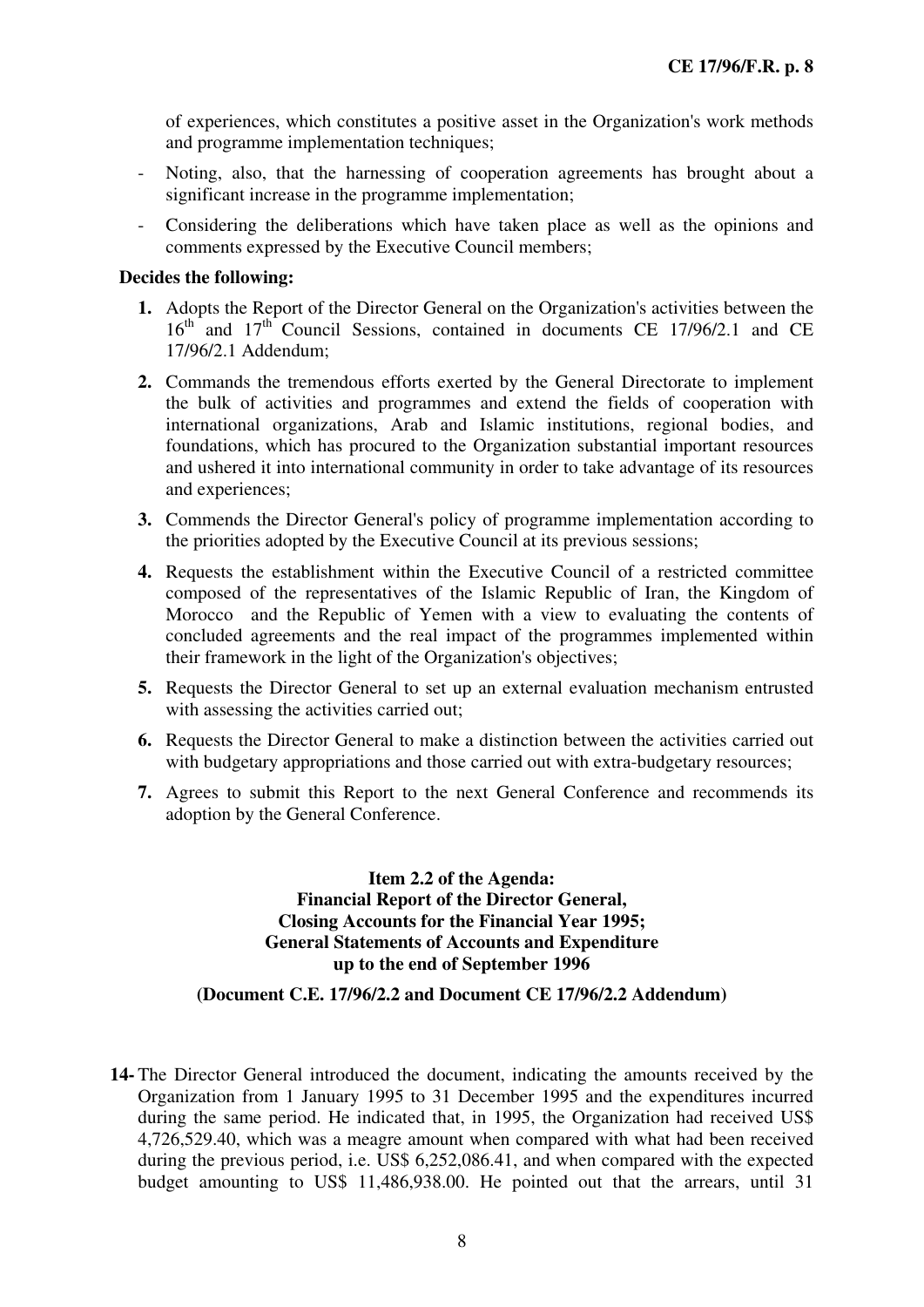of experiences, which constitutes a positive asset in the Organization's work methods and programme implementation techniques;

- Noting, also, that the harnessing of cooperation agreements has brought about a significant increase in the programme implementation;
- Considering the deliberations which have taken place as well as the opinions and comments expressed by the Executive Council members;

#### **Decides the following:**

- **1.** Adopts the Report of the Director General on the Organization's activities between the 16<sup>th</sup> and 17<sup>th</sup> Council Sessions, contained in documents CE 17/96/2.1 and CE 17/96/2.1 Addendum;
- **2.** Commands the tremendous efforts exerted by the General Directorate to implement the bulk of activities and programmes and extend the fields of cooperation with international organizations, Arab and Islamic institutions, regional bodies, and foundations, which has procured to the Organization substantial important resources and ushered it into international community in order to take advantage of its resources and experiences;
- **3.** Commends the Director General's policy of programme implementation according to the priorities adopted by the Executive Council at its previous sessions;
- **4.** Requests the establishment within the Executive Council of a restricted committee composed of the representatives of the Islamic Republic of Iran, the Kingdom of Morocco and the Republic of Yemen with a view to evaluating the contents of concluded agreements and the real impact of the programmes implemented within their framework in the light of the Organization's objectives;
- **5.** Requests the Director General to set up an external evaluation mechanism entrusted with assessing the activities carried out;
- **6.** Requests the Director General to make a distinction between the activities carried out with budgetary appropriations and those carried out with extra-budgetary resources;
- **7.** Agrees to submit this Report to the next General Conference and recommends its adoption by the General Conference.

**Item 2.2 of the Agenda: Financial Report of the Director General, Closing Accounts for the Financial Year 1995; General Statements of Accounts and Expenditure up to the end of September 1996** 

#### **(Document C.E. 17/96/2.2 and Document CE 17/96/2.2 Addendum)**

**14-** The Director General introduced the document, indicating the amounts received by the Organization from 1 January 1995 to 31 December 1995 and the expenditures incurred during the same period. He indicated that, in 1995, the Organization had received US\$ 4,726,529.40, which was a meagre amount when compared with what had been received during the previous period, i.e. US\$ 6,252,086.41, and when compared with the expected budget amounting to US\$ 11,486,938.00. He pointed out that the arrears, until 31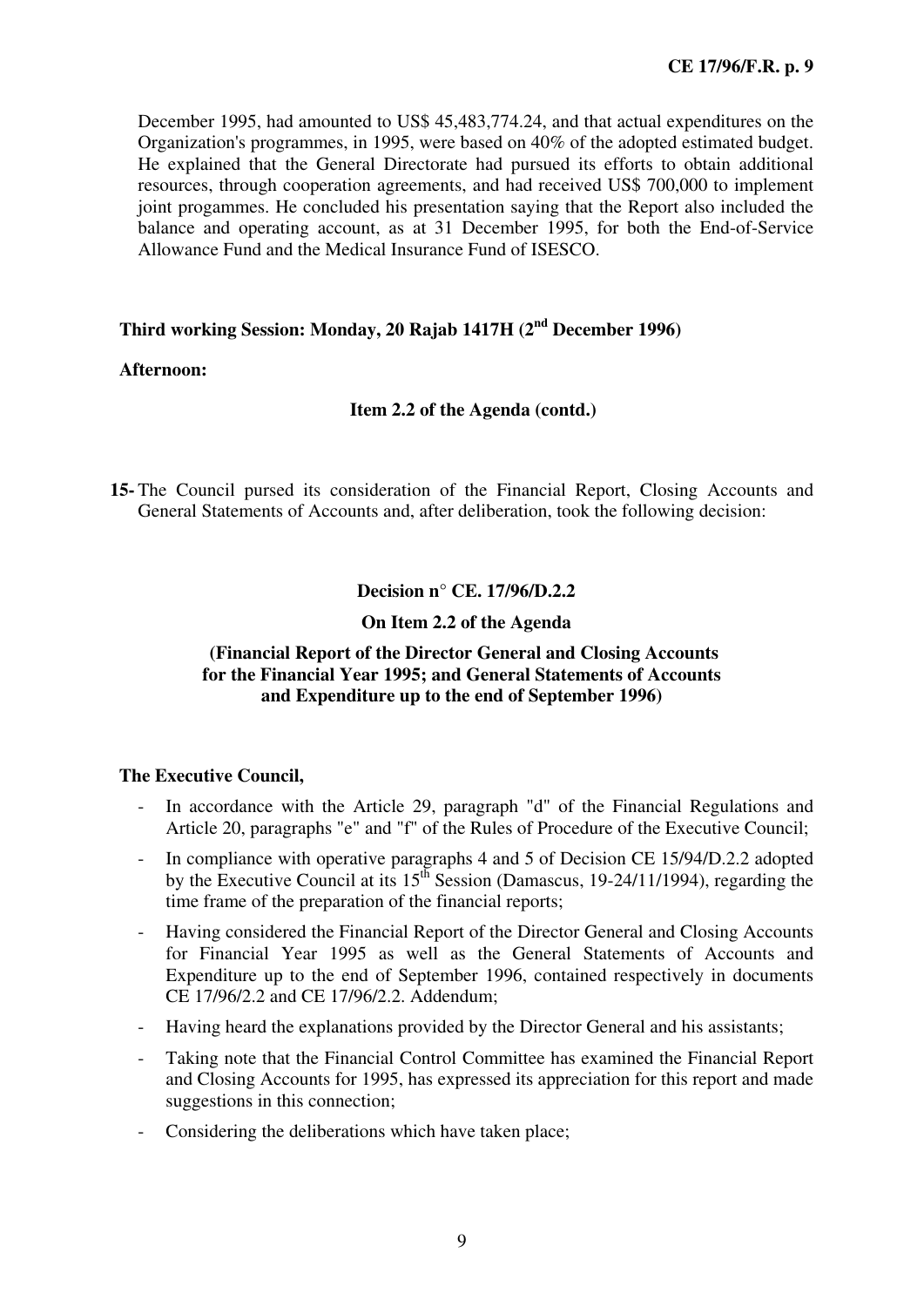December 1995, had amounted to US\$ 45,483,774.24, and that actual expenditures on the Organization's programmes, in 1995, were based on 40% of the adopted estimated budget. He explained that the General Directorate had pursued its efforts to obtain additional resources, through cooperation agreements, and had received US\$ 700,000 to implement joint progammes. He concluded his presentation saying that the Report also included the balance and operating account, as at 31 December 1995, for both the End-of-Service Allowance Fund and the Medical Insurance Fund of ISESCO.

#### **Third working Session: Monday, 20 Rajab 1417H (2nd December 1996)**

#### **Afternoon:**

#### **Item 2.2 of the Agenda (contd.)**

**15-** The Council pursed its consideration of the Financial Report, Closing Accounts and General Statements of Accounts and, after deliberation, took the following decision:

**Decision n° CE. 17/96/D.2.2** 

#### **On Item 2.2 of the Agenda**

#### **(Financial Report of the Director General and Closing Accounts for the Financial Year 1995; and General Statements of Accounts and Expenditure up to the end of September 1996)**

- In accordance with the Article 29, paragraph "d" of the Financial Regulations and Article 20, paragraphs "e" and "f" of the Rules of Procedure of the Executive Council;
- In compliance with operative paragraphs 4 and 5 of Decision CE 15/94/D.2.2 adopted by the Executive Council at its  $15^{th}$  Session (Damascus, 19-24/11/1994), regarding the time frame of the preparation of the financial reports;
- Having considered the Financial Report of the Director General and Closing Accounts for Financial Year 1995 as well as the General Statements of Accounts and Expenditure up to the end of September 1996, contained respectively in documents CE 17/96/2.2 and CE 17/96/2.2. Addendum;
- Having heard the explanations provided by the Director General and his assistants;
- Taking note that the Financial Control Committee has examined the Financial Report and Closing Accounts for 1995, has expressed its appreciation for this report and made suggestions in this connection;
- Considering the deliberations which have taken place: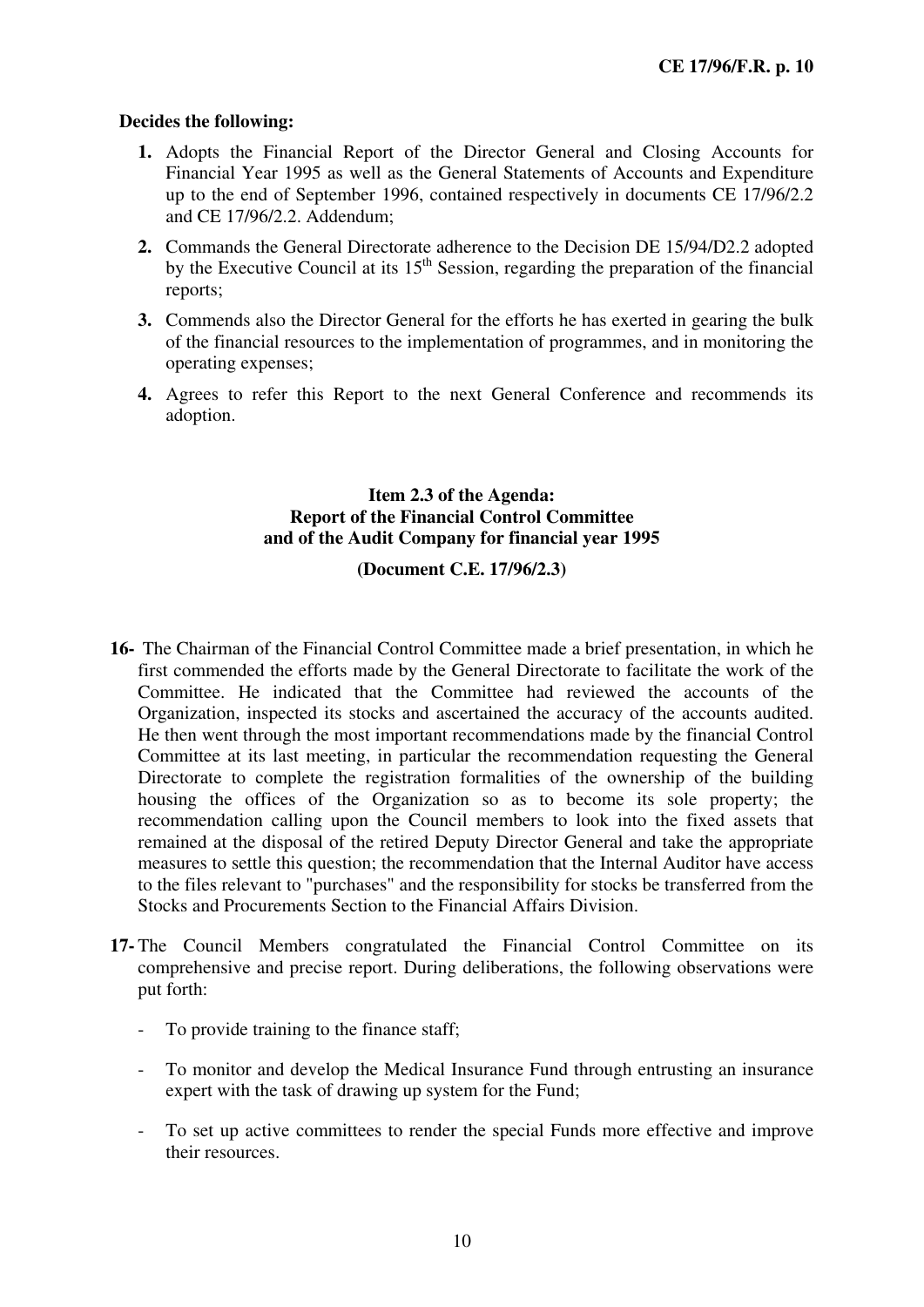- **1.** Adopts the Financial Report of the Director General and Closing Accounts for Financial Year 1995 as well as the General Statements of Accounts and Expenditure up to the end of September 1996, contained respectively in documents CE 17/96/2.2 and CE 17/96/2.2. Addendum;
- **2.** Commands the General Directorate adherence to the Decision DE 15/94/D2.2 adopted by the Executive Council at its  $15<sup>th</sup>$  Session, regarding the preparation of the financial reports;
- **3.** Commends also the Director General for the efforts he has exerted in gearing the bulk of the financial resources to the implementation of programmes, and in monitoring the operating expenses;
- **4.** Agrees to refer this Report to the next General Conference and recommends its adoption.

### **Item 2.3 of the Agenda: Report of the Financial Control Committee and of the Audit Company for financial year 1995**

#### **(Document C.E. 17/96/2.3)**

- **16-** The Chairman of the Financial Control Committee made a brief presentation, in which he first commended the efforts made by the General Directorate to facilitate the work of the Committee. He indicated that the Committee had reviewed the accounts of the Organization, inspected its stocks and ascertained the accuracy of the accounts audited. He then went through the most important recommendations made by the financial Control Committee at its last meeting, in particular the recommendation requesting the General Directorate to complete the registration formalities of the ownership of the building housing the offices of the Organization so as to become its sole property; the recommendation calling upon the Council members to look into the fixed assets that remained at the disposal of the retired Deputy Director General and take the appropriate measures to settle this question; the recommendation that the Internal Auditor have access to the files relevant to "purchases" and the responsibility for stocks be transferred from the Stocks and Procurements Section to the Financial Affairs Division.
- **17-** The Council Members congratulated the Financial Control Committee on its comprehensive and precise report. During deliberations, the following observations were put forth:
	- To provide training to the finance staff;
	- To monitor and develop the Medical Insurance Fund through entrusting an insurance expert with the task of drawing up system for the Fund;
	- To set up active committees to render the special Funds more effective and improve their resources.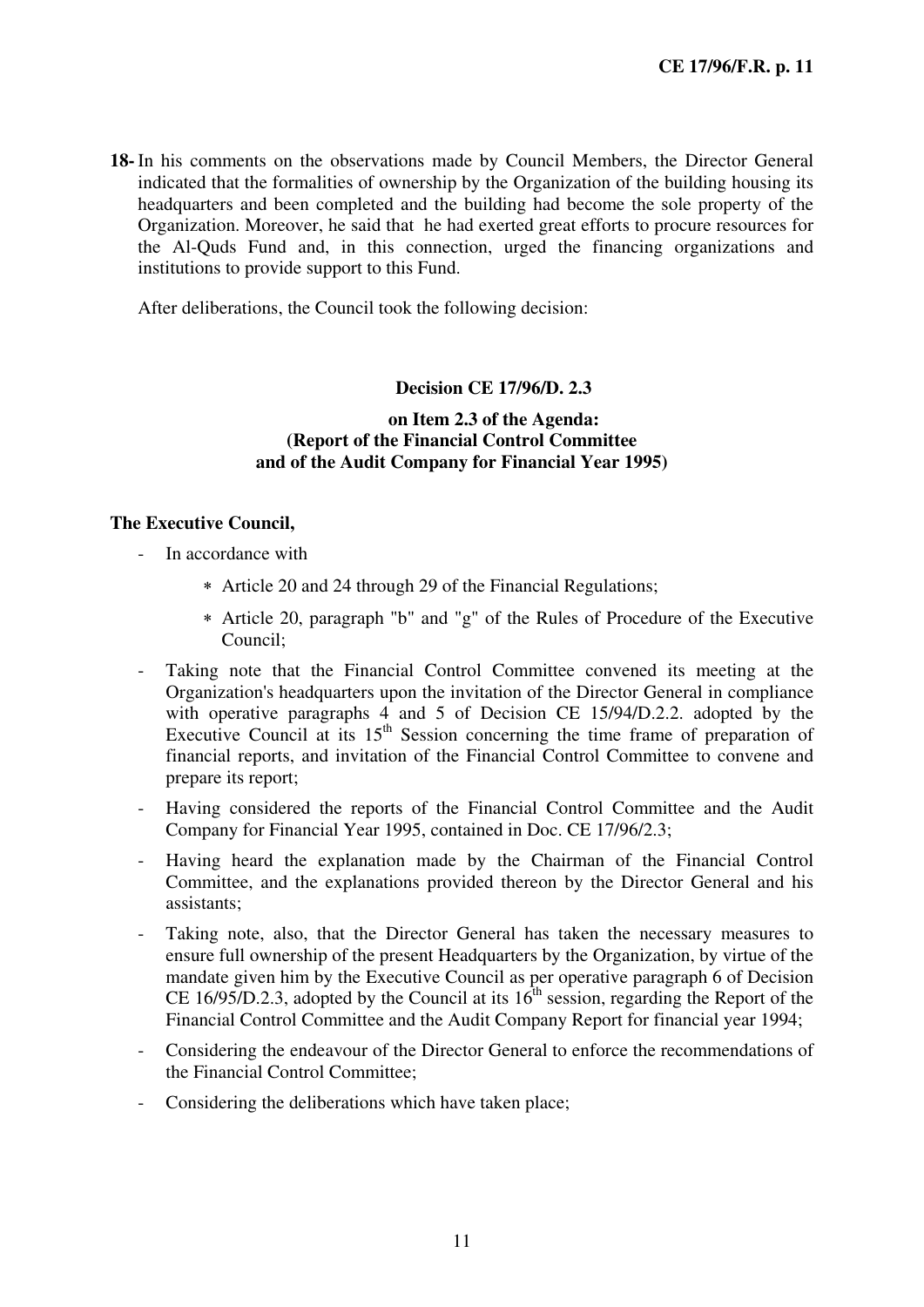**18-** In his comments on the observations made by Council Members, the Director General indicated that the formalities of ownership by the Organization of the building housing its headquarters and been completed and the building had become the sole property of the Organization. Moreover, he said that he had exerted great efforts to procure resources for the Al-Quds Fund and, in this connection, urged the financing organizations and institutions to provide support to this Fund.

After deliberations, the Council took the following decision:

#### **Decision CE 17/96/D. 2.3**

#### **on Item 2.3 of the Agenda: (Report of the Financial Control Committee and of the Audit Company for Financial Year 1995)**

- In accordance with
	- ∗ Article 20 and 24 through 29 of the Financial Regulations;
	- ∗ Article 20, paragraph "b" and "g" of the Rules of Procedure of the Executive Council;
- Taking note that the Financial Control Committee convened its meeting at the Organization's headquarters upon the invitation of the Director General in compliance with operative paragraphs 4 and 5 of Decision CE 15/94/D.2.2. adopted by the Executive Council at its  $15<sup>th</sup>$  Session concerning the time frame of preparation of financial reports, and invitation of the Financial Control Committee to convene and prepare its report;
- Having considered the reports of the Financial Control Committee and the Audit Company for Financial Year 1995, contained in Doc. CE 17/96/2.3;
- Having heard the explanation made by the Chairman of the Financial Control Committee, and the explanations provided thereon by the Director General and his assistants;
- Taking note, also, that the Director General has taken the necessary measures to ensure full ownership of the present Headquarters by the Organization, by virtue of the mandate given him by the Executive Council as per operative paragraph 6 of Decision CE 16/95/D.2.3, adopted by the Council at its  $16<sup>th</sup>$  session, regarding the Report of the Financial Control Committee and the Audit Company Report for financial year 1994;
- Considering the endeavour of the Director General to enforce the recommendations of the Financial Control Committee;
- Considering the deliberations which have taken place;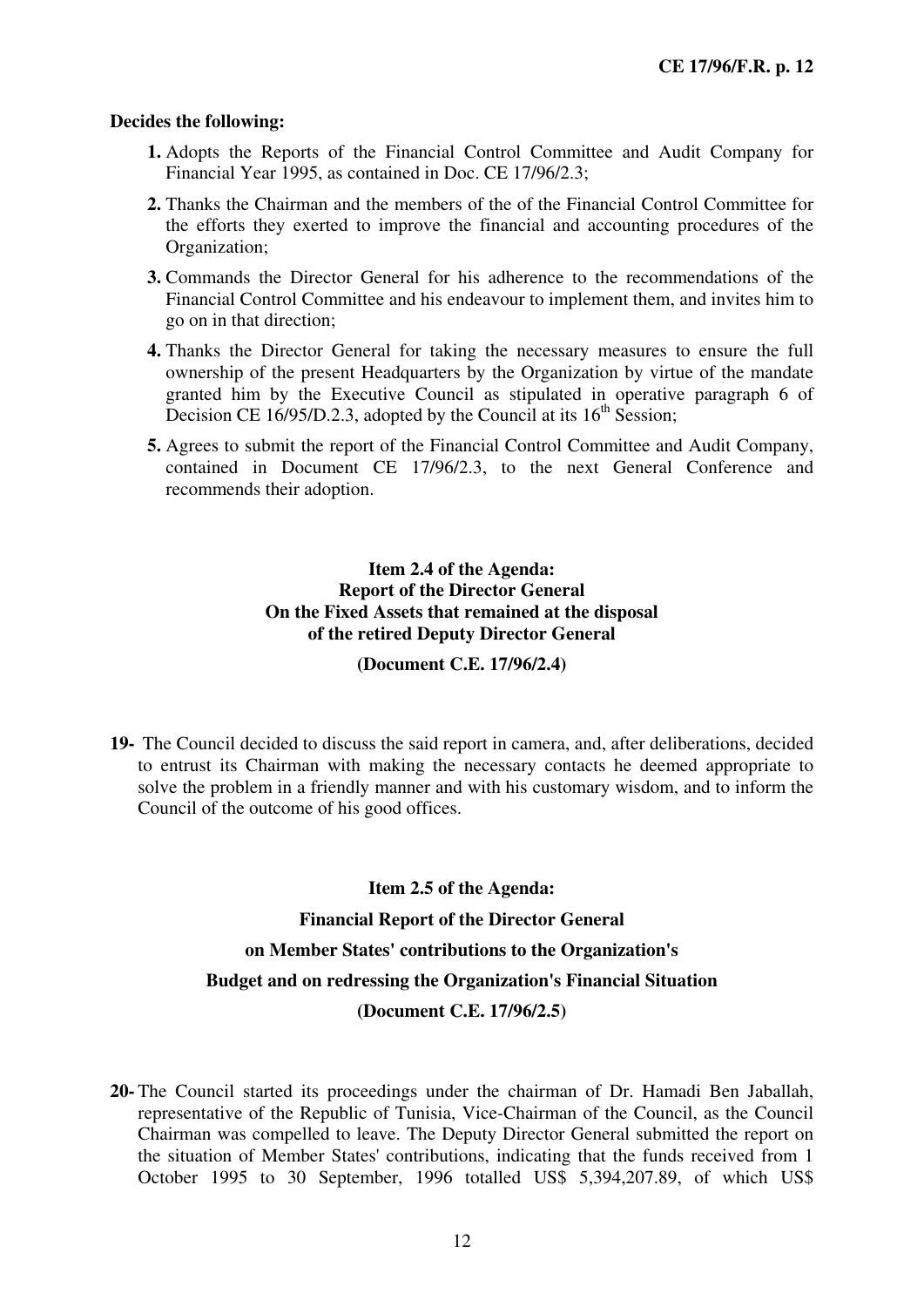- **1.** Adopts the Reports of the Financial Control Committee and Audit Company for Financial Year 1995, as contained in Doc. CE 17/96/2.3;
- **2.** Thanks the Chairman and the members of the of the Financial Control Committee for the efforts they exerted to improve the financial and accounting procedures of the Organization;
- **3.** Commands the Director General for his adherence to the recommendations of the Financial Control Committee and his endeavour to implement them, and invites him to go on in that direction;
- **4.** Thanks the Director General for taking the necessary measures to ensure the full ownership of the present Headquarters by the Organization by virtue of the mandate granted him by the Executive Council as stipulated in operative paragraph 6 of Decision CE 16/95/D.2.3, adopted by the Council at its  $16<sup>th</sup>$  Session;
- **5.** Agrees to submit the report of the Financial Control Committee and Audit Company, contained in Document CE 17/96/2.3, to the next General Conference and recommends their adoption.

#### **Item 2.4 of the Agenda: Report of the Director General On the Fixed Assets that remained at the disposal of the retired Deputy Director General**

#### **(Document C.E. 17/96/2.4)**

**19-** The Council decided to discuss the said report in camera, and, after deliberations, decided to entrust its Chairman with making the necessary contacts he deemed appropriate to solve the problem in a friendly manner and with his customary wisdom, and to inform the Council of the outcome of his good offices.

#### **Item 2.5 of the Agenda:**

#### **Financial Report of the Director General**

## **on Member States' contributions to the Organization's**

#### **Budget and on redressing the Organization's Financial Situation**

#### **(Document C.E. 17/96/2.5)**

**20-** The Council started its proceedings under the chairman of Dr. Hamadi Ben Jaballah, representative of the Republic of Tunisia, Vice-Chairman of the Council, as the Council Chairman was compelled to leave. The Deputy Director General submitted the report on the situation of Member States' contributions, indicating that the funds received from 1 October 1995 to 30 September, 1996 totalled US\$ 5,394,207.89, of which US\$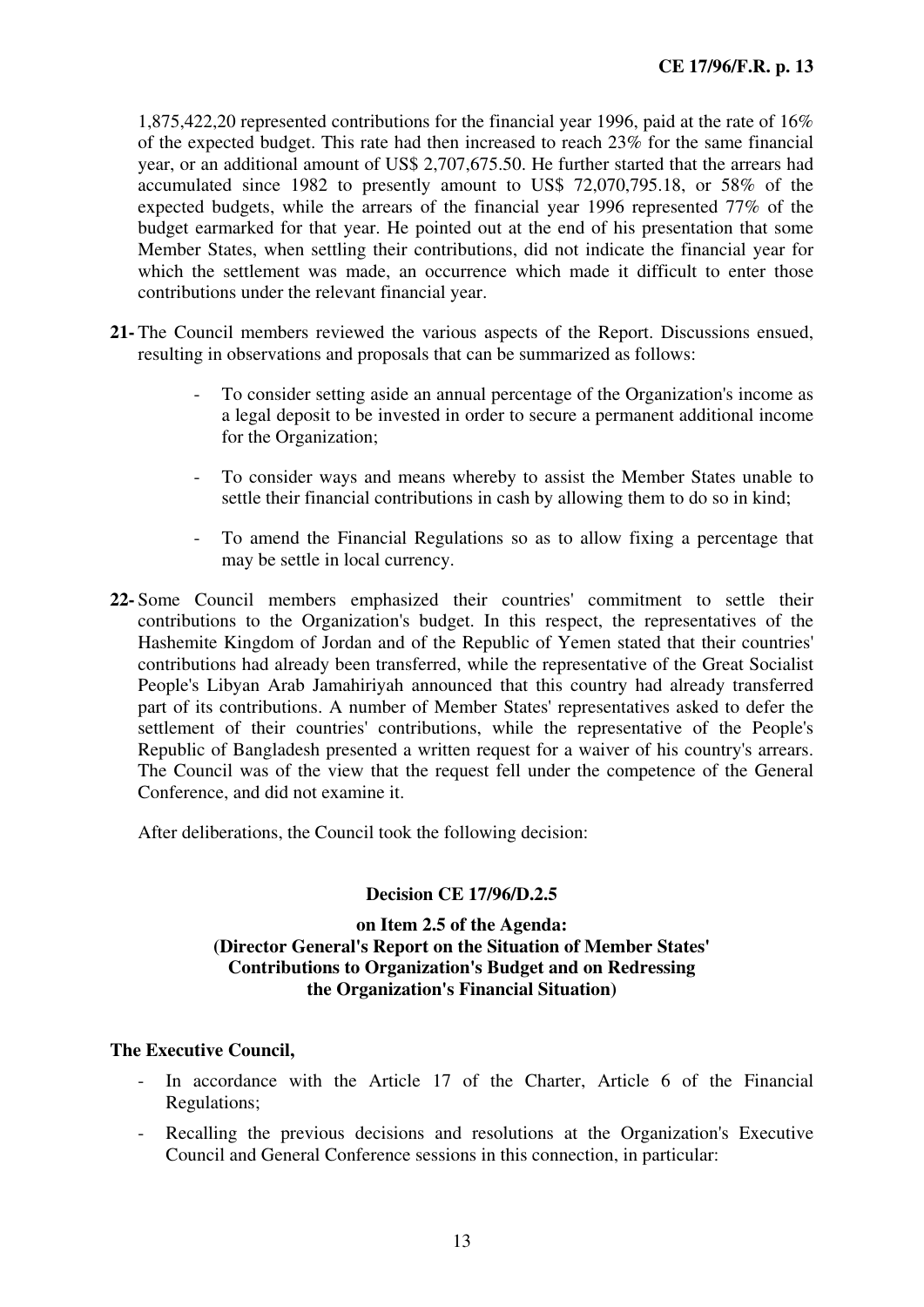1,875,422,20 represented contributions for the financial year 1996, paid at the rate of 16% of the expected budget. This rate had then increased to reach 23% for the same financial year, or an additional amount of US\$ 2,707,675.50. He further started that the arrears had accumulated since 1982 to presently amount to US\$ 72,070,795.18, or 58% of the expected budgets, while the arrears of the financial year 1996 represented 77% of the budget earmarked for that year. He pointed out at the end of his presentation that some Member States, when settling their contributions, did not indicate the financial year for which the settlement was made, an occurrence which made it difficult to enter those contributions under the relevant financial year.

- **21-** The Council members reviewed the various aspects of the Report. Discussions ensued, resulting in observations and proposals that can be summarized as follows:
	- To consider setting aside an annual percentage of the Organization's income as a legal deposit to be invested in order to secure a permanent additional income for the Organization;
	- To consider ways and means whereby to assist the Member States unable to settle their financial contributions in cash by allowing them to do so in kind;
	- To amend the Financial Regulations so as to allow fixing a percentage that may be settle in local currency.
- **22-** Some Council members emphasized their countries' commitment to settle their contributions to the Organization's budget. In this respect, the representatives of the Hashemite Kingdom of Jordan and of the Republic of Yemen stated that their countries' contributions had already been transferred, while the representative of the Great Socialist People's Libyan Arab Jamahiriyah announced that this country had already transferred part of its contributions. A number of Member States' representatives asked to defer the settlement of their countries' contributions, while the representative of the People's Republic of Bangladesh presented a written request for a waiver of his country's arrears. The Council was of the view that the request fell under the competence of the General Conference, and did not examine it.

After deliberations, the Council took the following decision:

#### **Decision CE 17/96/D.2.5**

#### **on Item 2.5 of the Agenda: (Director General's Report on the Situation of Member States' Contributions to Organization's Budget and on Redressing the Organization's Financial Situation)**

- In accordance with the Article 17 of the Charter, Article 6 of the Financial Regulations;
- Recalling the previous decisions and resolutions at the Organization's Executive Council and General Conference sessions in this connection, in particular: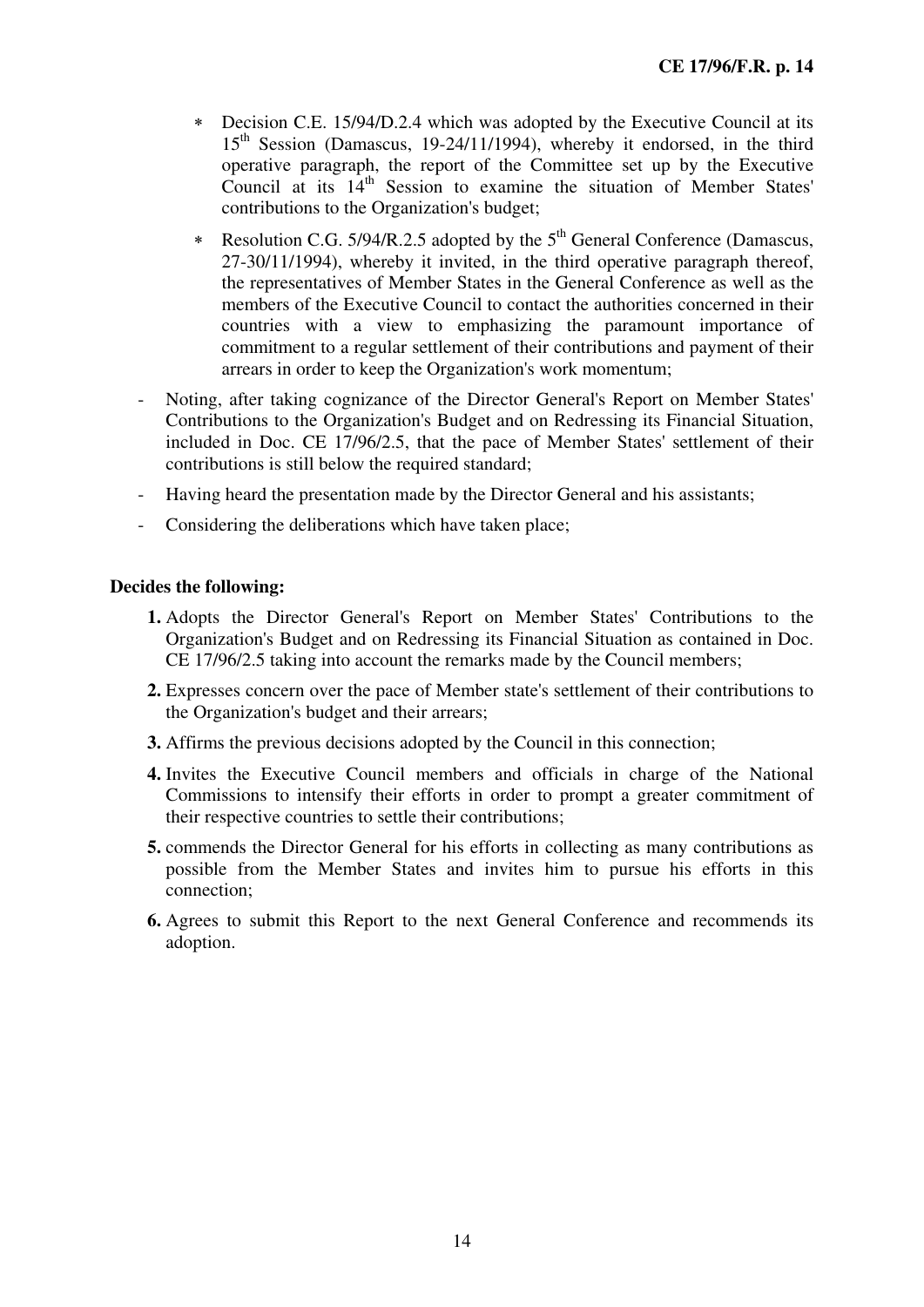- ∗ Decision C.E. 15/94/D.2.4 which was adopted by the Executive Council at its 15<sup>th</sup> Session (Damascus, 19-24/11/1994), whereby it endorsed, in the third operative paragraph, the report of the Committee set up by the Executive Council at its  $14<sup>th</sup>$  Session to examine the situation of Member States' contributions to the Organization's budget;
- ∗ Resolution C.G. 5/94/R.2.5 adopted by the 5th General Conference (Damascus, 27-30/11/1994), whereby it invited, in the third operative paragraph thereof, the representatives of Member States in the General Conference as well as the members of the Executive Council to contact the authorities concerned in their countries with a view to emphasizing the paramount importance of commitment to a regular settlement of their contributions and payment of their arrears in order to keep the Organization's work momentum;
- Noting, after taking cognizance of the Director General's Report on Member States' Contributions to the Organization's Budget and on Redressing its Financial Situation, included in Doc. CE 17/96/2.5, that the pace of Member States' settlement of their contributions is still below the required standard;
- Having heard the presentation made by the Director General and his assistants;
- Considering the deliberations which have taken place;

- **1.** Adopts the Director General's Report on Member States' Contributions to the Organization's Budget and on Redressing its Financial Situation as contained in Doc. CE 17/96/2.5 taking into account the remarks made by the Council members;
- **2.** Expresses concern over the pace of Member state's settlement of their contributions to the Organization's budget and their arrears;
- **3.** Affirms the previous decisions adopted by the Council in this connection;
- **4.** Invites the Executive Council members and officials in charge of the National Commissions to intensify their efforts in order to prompt a greater commitment of their respective countries to settle their contributions;
- **5.** commends the Director General for his efforts in collecting as many contributions as possible from the Member States and invites him to pursue his efforts in this connection;
- **6.** Agrees to submit this Report to the next General Conference and recommends its adoption.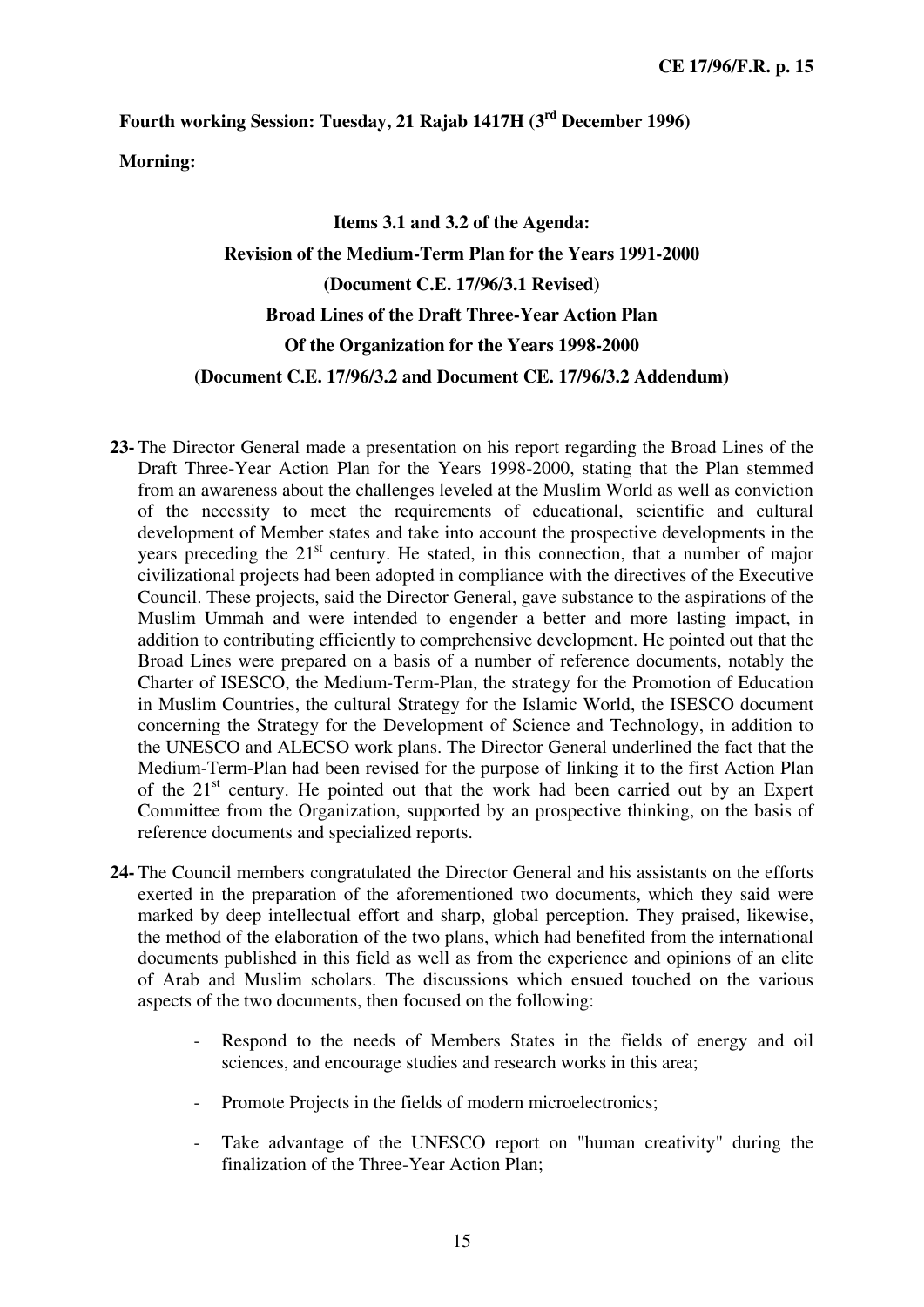**Fourth working Session: Tuesday, 21 Rajab 1417H (3rd December 1996)** 

**Morning:** 

# **Items 3.1 and 3.2 of the Agenda: Revision of the Medium-Term Plan for the Years 1991-2000 (Document C.E. 17/96/3.1 Revised) Broad Lines of the Draft Three-Year Action Plan Of the Organization for the Years 1998-2000 (Document C.E. 17/96/3.2 and Document CE. 17/96/3.2 Addendum)**

- **23-** The Director General made a presentation on his report regarding the Broad Lines of the Draft Three-Year Action Plan for the Years 1998-2000, stating that the Plan stemmed from an awareness about the challenges leveled at the Muslim World as well as conviction of the necessity to meet the requirements of educational, scientific and cultural development of Member states and take into account the prospective developments in the years preceding the  $21<sup>st</sup>$  century. He stated, in this connection, that a number of major civilizational projects had been adopted in compliance with the directives of the Executive Council. These projects, said the Director General, gave substance to the aspirations of the Muslim Ummah and were intended to engender a better and more lasting impact, in addition to contributing efficiently to comprehensive development. He pointed out that the Broad Lines were prepared on a basis of a number of reference documents, notably the Charter of ISESCO, the Medium-Term-Plan, the strategy for the Promotion of Education in Muslim Countries, the cultural Strategy for the Islamic World, the ISESCO document concerning the Strategy for the Development of Science and Technology, in addition to the UNESCO and ALECSO work plans. The Director General underlined the fact that the Medium-Term-Plan had been revised for the purpose of linking it to the first Action Plan of the  $21<sup>st</sup>$  century. He pointed out that the work had been carried out by an Expert Committee from the Organization, supported by an prospective thinking, on the basis of reference documents and specialized reports.
- **24-** The Council members congratulated the Director General and his assistants on the efforts exerted in the preparation of the aforementioned two documents, which they said were marked by deep intellectual effort and sharp, global perception. They praised, likewise, the method of the elaboration of the two plans, which had benefited from the international documents published in this field as well as from the experience and opinions of an elite of Arab and Muslim scholars. The discussions which ensued touched on the various aspects of the two documents, then focused on the following:
	- Respond to the needs of Members States in the fields of energy and oil sciences, and encourage studies and research works in this area;
	- Promote Projects in the fields of modern microelectronics;
	- Take advantage of the UNESCO report on "human creativity" during the finalization of the Three-Year Action Plan;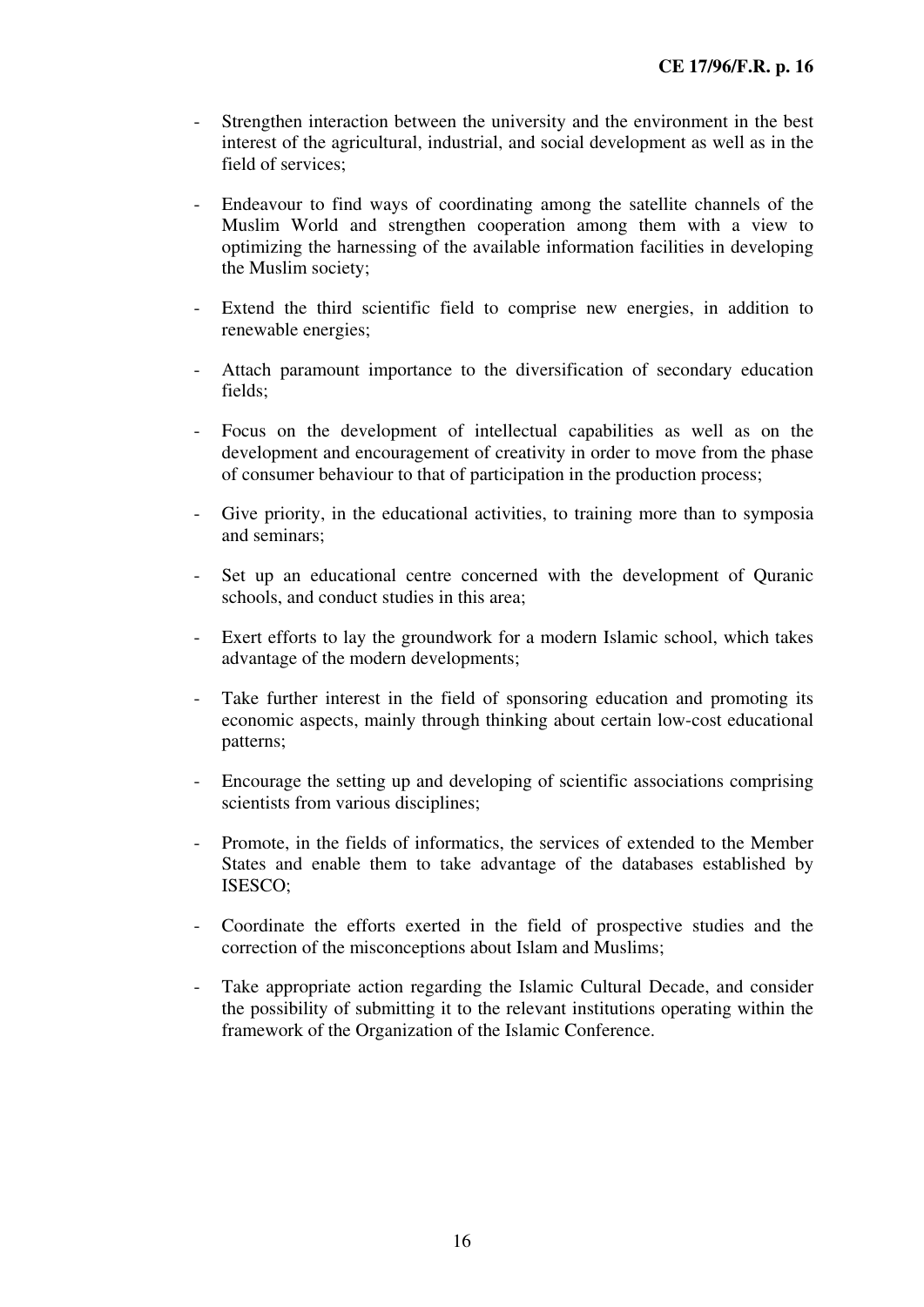- Strengthen interaction between the university and the environment in the best interest of the agricultural, industrial, and social development as well as in the field of services;
- Endeavour to find ways of coordinating among the satellite channels of the Muslim World and strengthen cooperation among them with a view to optimizing the harnessing of the available information facilities in developing the Muslim society;
- Extend the third scientific field to comprise new energies, in addition to renewable energies;
- Attach paramount importance to the diversification of secondary education fields;
- Focus on the development of intellectual capabilities as well as on the development and encouragement of creativity in order to move from the phase of consumer behaviour to that of participation in the production process;
- Give priority, in the educational activities, to training more than to symposia and seminars;
- Set up an educational centre concerned with the development of Quranic schools, and conduct studies in this area;
- Exert efforts to lay the groundwork for a modern Islamic school, which takes advantage of the modern developments;
- Take further interest in the field of sponsoring education and promoting its economic aspects, mainly through thinking about certain low-cost educational patterns;
- Encourage the setting up and developing of scientific associations comprising scientists from various disciplines;
- Promote, in the fields of informatics, the services of extended to the Member States and enable them to take advantage of the databases established by ISESCO;
- Coordinate the efforts exerted in the field of prospective studies and the correction of the misconceptions about Islam and Muslims;
- Take appropriate action regarding the Islamic Cultural Decade, and consider the possibility of submitting it to the relevant institutions operating within the framework of the Organization of the Islamic Conference.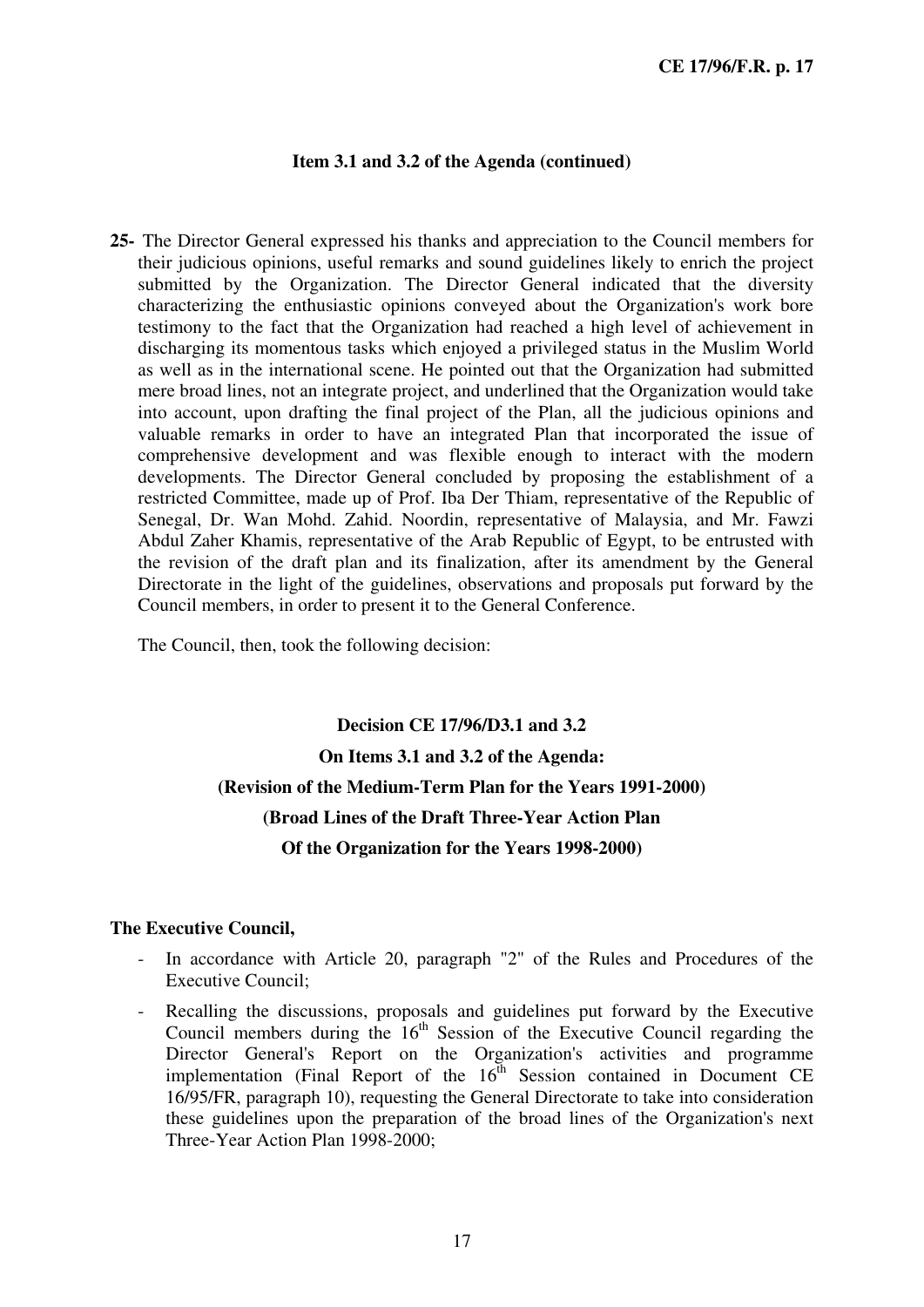#### **Item 3.1 and 3.2 of the Agenda (continued)**

**25-** The Director General expressed his thanks and appreciation to the Council members for their judicious opinions, useful remarks and sound guidelines likely to enrich the project submitted by the Organization. The Director General indicated that the diversity characterizing the enthusiastic opinions conveyed about the Organization's work bore testimony to the fact that the Organization had reached a high level of achievement in discharging its momentous tasks which enjoyed a privileged status in the Muslim World as well as in the international scene. He pointed out that the Organization had submitted mere broad lines, not an integrate project, and underlined that the Organization would take into account, upon drafting the final project of the Plan, all the judicious opinions and valuable remarks in order to have an integrated Plan that incorporated the issue of comprehensive development and was flexible enough to interact with the modern developments. The Director General concluded by proposing the establishment of a restricted Committee, made up of Prof. Iba Der Thiam, representative of the Republic of Senegal, Dr. Wan Mohd. Zahid. Noordin, representative of Malaysia, and Mr. Fawzi Abdul Zaher Khamis, representative of the Arab Republic of Egypt, to be entrusted with the revision of the draft plan and its finalization, after its amendment by the General Directorate in the light of the guidelines, observations and proposals put forward by the Council members, in order to present it to the General Conference.

The Council, then, took the following decision:

# **Decision CE 17/96/D3.1 and 3.2 On Items 3.1 and 3.2 of the Agenda: (Revision of the Medium-Term Plan for the Years 1991-2000) (Broad Lines of the Draft Three-Year Action Plan Of the Organization for the Years 1998-2000)**

- In accordance with Article 20, paragraph "2" of the Rules and Procedures of the Executive Council;
- Recalling the discussions, proposals and guidelines put forward by the Executive Council members during the  $16<sup>th</sup>$  Session of the Executive Council regarding the Director General's Report on the Organization's activities and programme implementation (Final Report of the  $16<sup>th</sup>$  Session contained in Document CE 16/95/FR, paragraph 10), requesting the General Directorate to take into consideration these guidelines upon the preparation of the broad lines of the Organization's next Three-Year Action Plan 1998-2000;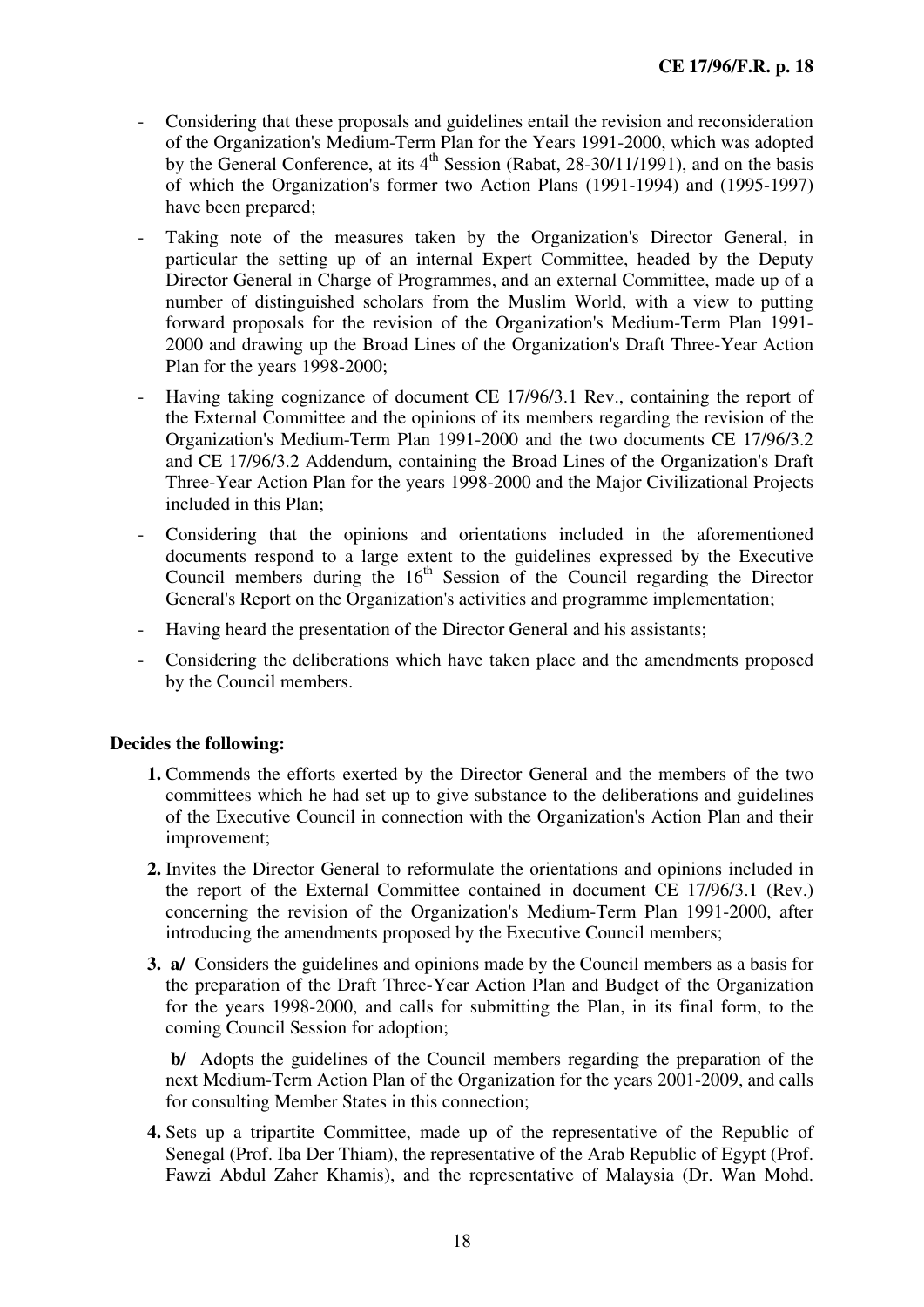- Considering that these proposals and guidelines entail the revision and reconsideration of the Organization's Medium-Term Plan for the Years 1991-2000, which was adopted by the General Conference, at its  $4<sup>th</sup>$  Session (Rabat, 28-30/11/1991), and on the basis of which the Organization's former two Action Plans (1991-1994) and (1995-1997) have been prepared;
- Taking note of the measures taken by the Organization's Director General, in particular the setting up of an internal Expert Committee, headed by the Deputy Director General in Charge of Programmes, and an external Committee, made up of a number of distinguished scholars from the Muslim World, with a view to putting forward proposals for the revision of the Organization's Medium-Term Plan 1991- 2000 and drawing up the Broad Lines of the Organization's Draft Three-Year Action Plan for the years 1998-2000;
- Having taking cognizance of document CE 17/96/3.1 Rev., containing the report of the External Committee and the opinions of its members regarding the revision of the Organization's Medium-Term Plan 1991-2000 and the two documents CE 17/96/3.2 and CE 17/96/3.2 Addendum, containing the Broad Lines of the Organization's Draft Three-Year Action Plan for the years 1998-2000 and the Major Civilizational Projects included in this Plan;
- Considering that the opinions and orientations included in the aforementioned documents respond to a large extent to the guidelines expressed by the Executive Council members during the  $16<sup>th</sup>$  Session of the Council regarding the Director General's Report on the Organization's activities and programme implementation;
- Having heard the presentation of the Director General and his assistants;
- Considering the deliberations which have taken place and the amendments proposed by the Council members.

- **1.** Commends the efforts exerted by the Director General and the members of the two committees which he had set up to give substance to the deliberations and guidelines of the Executive Council in connection with the Organization's Action Plan and their improvement;
- **2.** Invites the Director General to reformulate the orientations and opinions included in the report of the External Committee contained in document CE 17/96/3.1 (Rev.) concerning the revision of the Organization's Medium-Term Plan 1991-2000, after introducing the amendments proposed by the Executive Council members;
- **3. a/** Considers the guidelines and opinions made by the Council members as a basis for the preparation of the Draft Three-Year Action Plan and Budget of the Organization for the years 1998-2000, and calls for submitting the Plan, in its final form, to the coming Council Session for adoption;

 **b/** Adopts the guidelines of the Council members regarding the preparation of the next Medium-Term Action Plan of the Organization for the years 2001-2009, and calls for consulting Member States in this connection;

**4.** Sets up a tripartite Committee, made up of the representative of the Republic of Senegal (Prof. Iba Der Thiam), the representative of the Arab Republic of Egypt (Prof. Fawzi Abdul Zaher Khamis), and the representative of Malaysia (Dr. Wan Mohd.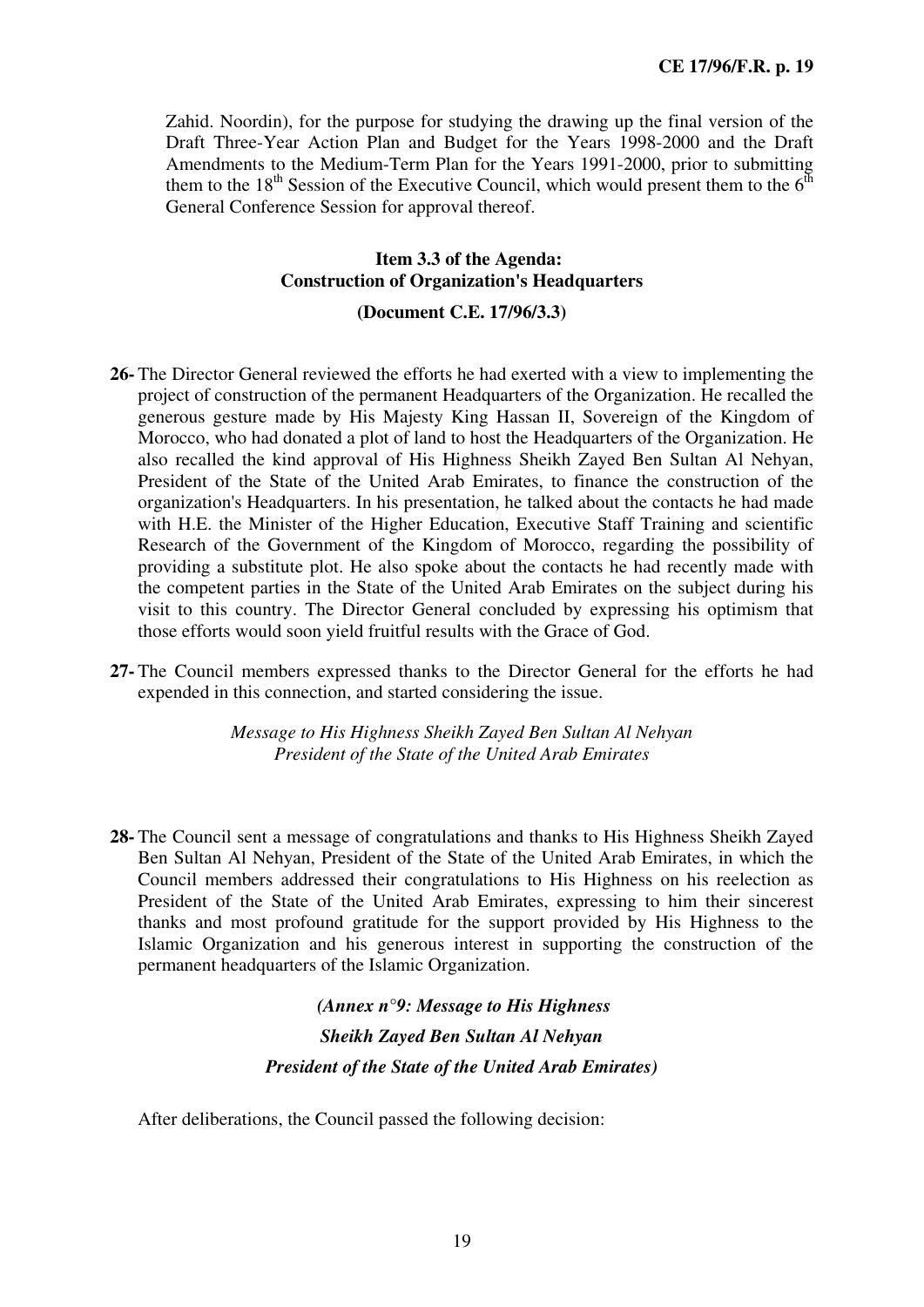Zahid. Noordin), for the purpose for studying the drawing up the final version of the Draft Three-Year Action Plan and Budget for the Years 1998-2000 and the Draft Amendments to the Medium-Term Plan for the Years 1991-2000, prior to submitting them to the 18<sup>th</sup> Session of the Executive Council, which would present them to the  $6<sup>th</sup>$ General Conference Session for approval thereof.

#### **Item 3.3 of the Agenda: Construction of Organization's Headquarters**

#### **(Document C.E. 17/96/3.3)**

- **26-** The Director General reviewed the efforts he had exerted with a view to implementing the project of construction of the permanent Headquarters of the Organization. He recalled the generous gesture made by His Majesty King Hassan II, Sovereign of the Kingdom of Morocco, who had donated a plot of land to host the Headquarters of the Organization. He also recalled the kind approval of His Highness Sheikh Zayed Ben Sultan Al Nehyan, President of the State of the United Arab Emirates, to finance the construction of the organization's Headquarters. In his presentation, he talked about the contacts he had made with H.E. the Minister of the Higher Education, Executive Staff Training and scientific Research of the Government of the Kingdom of Morocco, regarding the possibility of providing a substitute plot. He also spoke about the contacts he had recently made with the competent parties in the State of the United Arab Emirates on the subject during his visit to this country. The Director General concluded by expressing his optimism that those efforts would soon yield fruitful results with the Grace of God.
- **27-** The Council members expressed thanks to the Director General for the efforts he had expended in this connection, and started considering the issue.

*Message to His Highness Sheikh Zayed Ben Sultan Al Nehyan President of the State of the United Arab Emirates* 

**28-** The Council sent a message of congratulations and thanks to His Highness Sheikh Zayed Ben Sultan Al Nehyan, President of the State of the United Arab Emirates, in which the Council members addressed their congratulations to His Highness on his reelection as President of the State of the United Arab Emirates, expressing to him their sincerest thanks and most profound gratitude for the support provided by His Highness to the Islamic Organization and his generous interest in supporting the construction of the permanent headquarters of the Islamic Organization.

### *(Annex n°9: Message to His Highness Sheikh Zayed Ben Sultan Al Nehyan President of the State of the United Arab Emirates)*

After deliberations, the Council passed the following decision: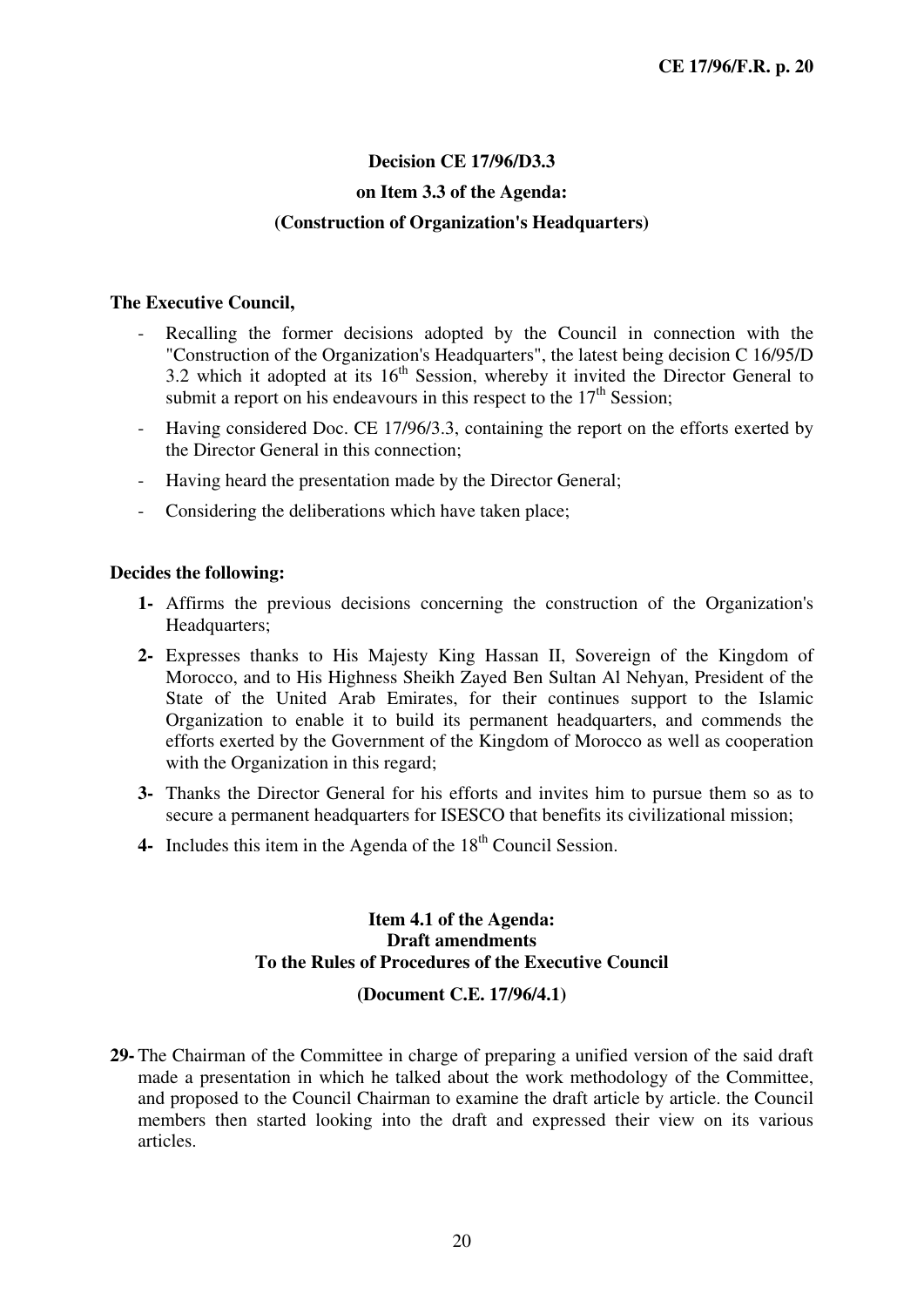### **Decision CE 17/96/D3.3 on Item 3.3 of the Agenda: (Construction of Organization's Headquarters)**

#### **The Executive Council,**

- Recalling the former decisions adopted by the Council in connection with the "Construction of the Organization's Headquarters", the latest being decision C 16/95/D 3.2 which it adopted at its  $16<sup>th</sup>$  Session, whereby it invited the Director General to submit a report on his endeavours in this respect to the  $17<sup>th</sup>$  Session:
- Having considered Doc. CE 17/96/3.3, containing the report on the efforts exerted by the Director General in this connection;
- Having heard the presentation made by the Director General;
- Considering the deliberations which have taken place;

#### **Decides the following:**

- **1-** Affirms the previous decisions concerning the construction of the Organization's Headquarters;
- **2-** Expresses thanks to His Majesty King Hassan II, Sovereign of the Kingdom of Morocco, and to His Highness Sheikh Zayed Ben Sultan Al Nehyan, President of the State of the United Arab Emirates, for their continues support to the Islamic Organization to enable it to build its permanent headquarters, and commends the efforts exerted by the Government of the Kingdom of Morocco as well as cooperation with the Organization in this regard;
- **3-** Thanks the Director General for his efforts and invites him to pursue them so as to secure a permanent headquarters for ISESCO that benefits its civilizational mission;
- **4-** Includes this item in the Agenda of the 18<sup>th</sup> Council Session.

#### **Item 4.1 of the Agenda: Draft amendments To the Rules of Procedures of the Executive Council**

#### **(Document C.E. 17/96/4.1)**

**29-** The Chairman of the Committee in charge of preparing a unified version of the said draft made a presentation in which he talked about the work methodology of the Committee, and proposed to the Council Chairman to examine the draft article by article. the Council members then started looking into the draft and expressed their view on its various articles.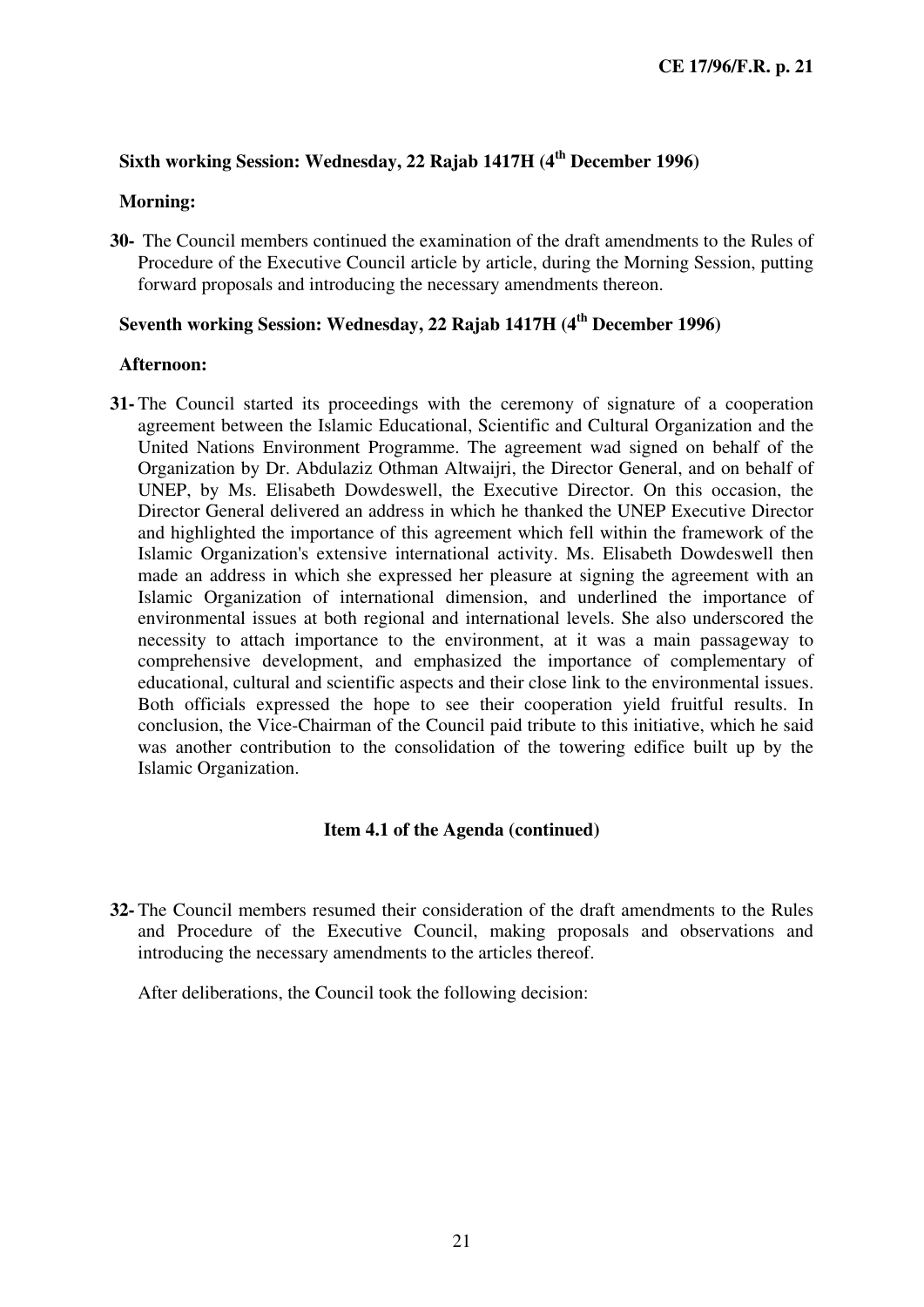#### **Sixth working Session: Wednesday, 22 Rajab 1417H (4th December 1996)**

#### **Morning:**

**30-** The Council members continued the examination of the draft amendments to the Rules of Procedure of the Executive Council article by article, during the Morning Session, putting forward proposals and introducing the necessary amendments thereon.

### **Seventh working Session: Wednesday, 22 Rajab 1417H (4th December 1996)**

#### **Afternoon:**

**31-** The Council started its proceedings with the ceremony of signature of a cooperation agreement between the Islamic Educational, Scientific and Cultural Organization and the United Nations Environment Programme. The agreement wad signed on behalf of the Organization by Dr. Abdulaziz Othman Altwaijri, the Director General, and on behalf of UNEP, by Ms. Elisabeth Dowdeswell, the Executive Director. On this occasion, the Director General delivered an address in which he thanked the UNEP Executive Director and highlighted the importance of this agreement which fell within the framework of the Islamic Organization's extensive international activity. Ms. Elisabeth Dowdeswell then made an address in which she expressed her pleasure at signing the agreement with an Islamic Organization of international dimension, and underlined the importance of environmental issues at both regional and international levels. She also underscored the necessity to attach importance to the environment, at it was a main passageway to comprehensive development, and emphasized the importance of complementary of educational, cultural and scientific aspects and their close link to the environmental issues. Both officials expressed the hope to see their cooperation yield fruitful results. In conclusion, the Vice-Chairman of the Council paid tribute to this initiative, which he said was another contribution to the consolidation of the towering edifice built up by the Islamic Organization.

#### **Item 4.1 of the Agenda (continued)**

**32-** The Council members resumed their consideration of the draft amendments to the Rules and Procedure of the Executive Council, making proposals and observations and introducing the necessary amendments to the articles thereof.

After deliberations, the Council took the following decision: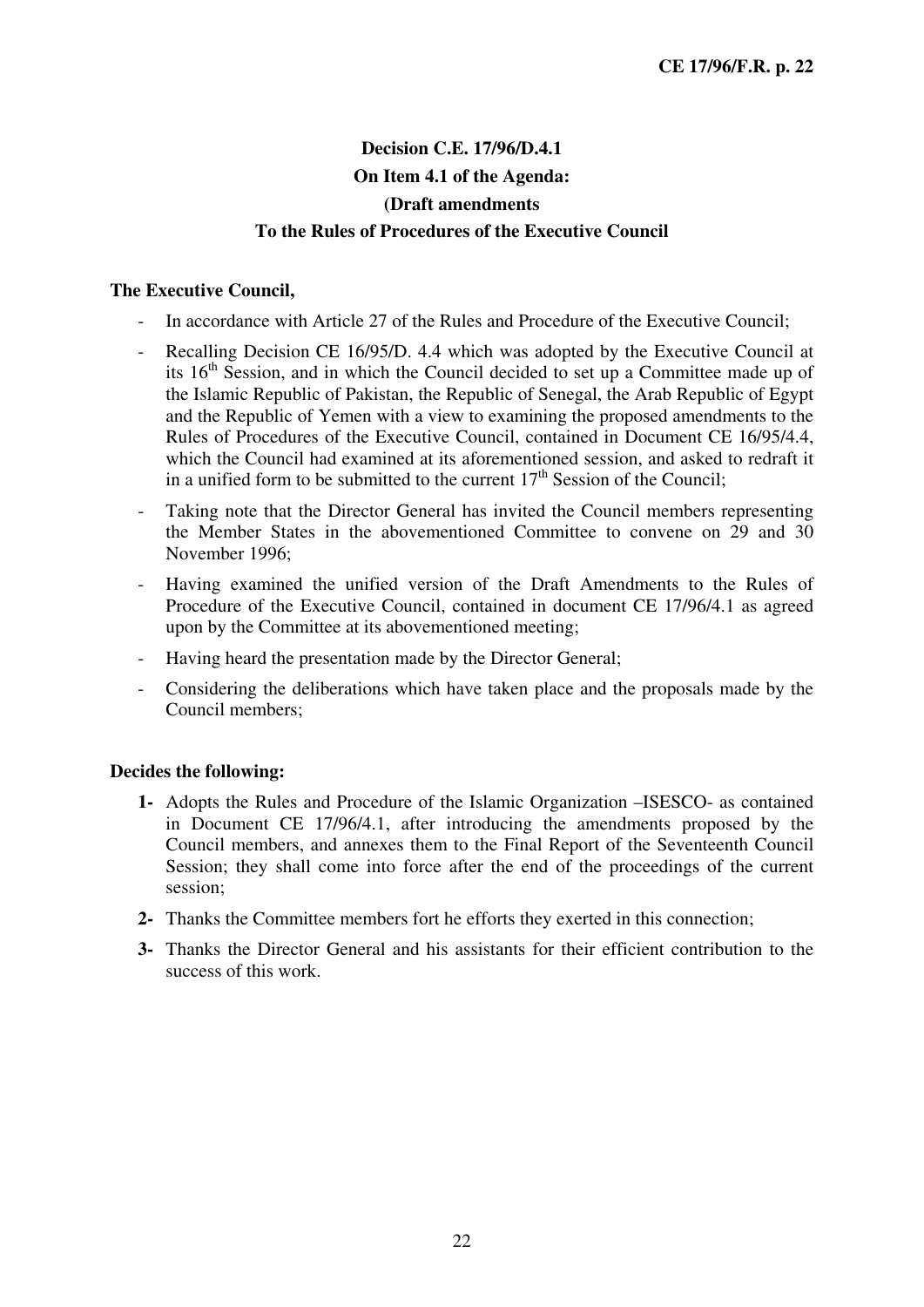### **Decision C.E. 17/96/D.4.1 On Item 4.1 of the Agenda: (Draft amendments To the Rules of Procedures of the Executive Council**

#### **The Executive Council,**

- In accordance with Article 27 of the Rules and Procedure of the Executive Council;
- Recalling Decision CE 16/95/D. 4.4 which was adopted by the Executive Council at its 16<sup>th</sup> Session, and in which the Council decided to set up a Committee made up of the Islamic Republic of Pakistan, the Republic of Senegal, the Arab Republic of Egypt and the Republic of Yemen with a view to examining the proposed amendments to the Rules of Procedures of the Executive Council, contained in Document CE 16/95/4.4, which the Council had examined at its aforementioned session, and asked to redraft it in a unified form to be submitted to the current  $17<sup>th</sup>$  Session of the Council:
- Taking note that the Director General has invited the Council members representing the Member States in the abovementioned Committee to convene on 29 and 30 November 1996;
- Having examined the unified version of the Draft Amendments to the Rules of Procedure of the Executive Council, contained in document CE 17/96/4.1 as agreed upon by the Committee at its abovementioned meeting;
- Having heard the presentation made by the Director General;
- Considering the deliberations which have taken place and the proposals made by the Council members;

#### **Decides the following:**

- **1-** Adopts the Rules and Procedure of the Islamic Organization –ISESCO- as contained in Document CE 17/96/4.1, after introducing the amendments proposed by the Council members, and annexes them to the Final Report of the Seventeenth Council Session; they shall come into force after the end of the proceedings of the current session;
- **2-** Thanks the Committee members fort he efforts they exerted in this connection;
- **3-** Thanks the Director General and his assistants for their efficient contribution to the success of this work.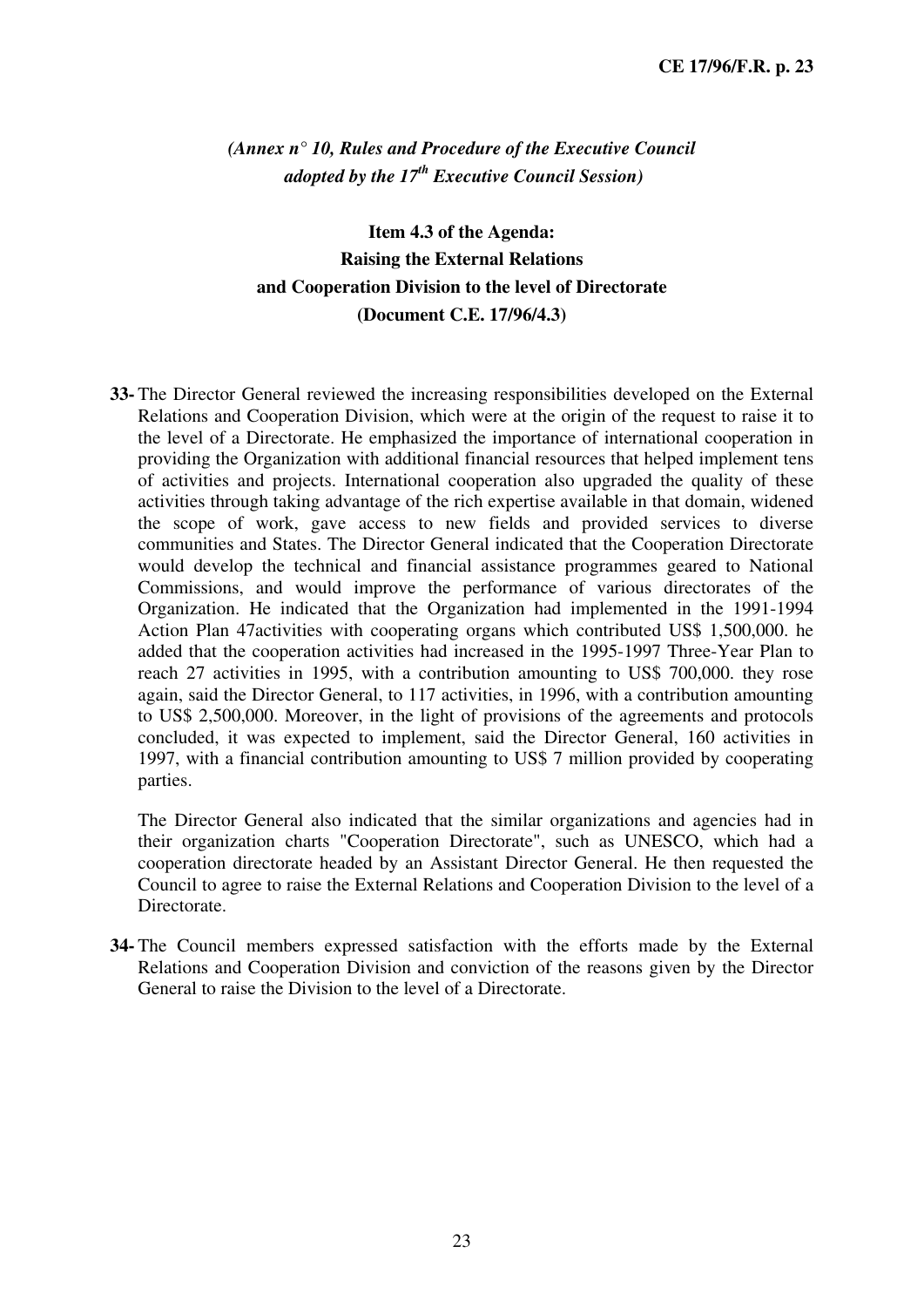*(Annex n° 10, Rules and Procedure of the Executive Council adopted by the 17th Executive Council Session)* 

**Item 4.3 of the Agenda: Raising the External Relations and Cooperation Division to the level of Directorate (Document C.E. 17/96/4.3)** 

**33-** The Director General reviewed the increasing responsibilities developed on the External Relations and Cooperation Division, which were at the origin of the request to raise it to the level of a Directorate. He emphasized the importance of international cooperation in providing the Organization with additional financial resources that helped implement tens of activities and projects. International cooperation also upgraded the quality of these activities through taking advantage of the rich expertise available in that domain, widened the scope of work, gave access to new fields and provided services to diverse communities and States. The Director General indicated that the Cooperation Directorate would develop the technical and financial assistance programmes geared to National Commissions, and would improve the performance of various directorates of the Organization. He indicated that the Organization had implemented in the 1991-1994 Action Plan 47activities with cooperating organs which contributed US\$ 1,500,000. he added that the cooperation activities had increased in the 1995-1997 Three-Year Plan to reach 27 activities in 1995, with a contribution amounting to US\$ 700,000. they rose again, said the Director General, to 117 activities, in 1996, with a contribution amounting to US\$ 2,500,000. Moreover, in the light of provisions of the agreements and protocols concluded, it was expected to implement, said the Director General, 160 activities in 1997, with a financial contribution amounting to US\$ 7 million provided by cooperating parties.

The Director General also indicated that the similar organizations and agencies had in their organization charts "Cooperation Directorate", such as UNESCO, which had a cooperation directorate headed by an Assistant Director General. He then requested the Council to agree to raise the External Relations and Cooperation Division to the level of a Directorate.

**34-** The Council members expressed satisfaction with the efforts made by the External Relations and Cooperation Division and conviction of the reasons given by the Director General to raise the Division to the level of a Directorate.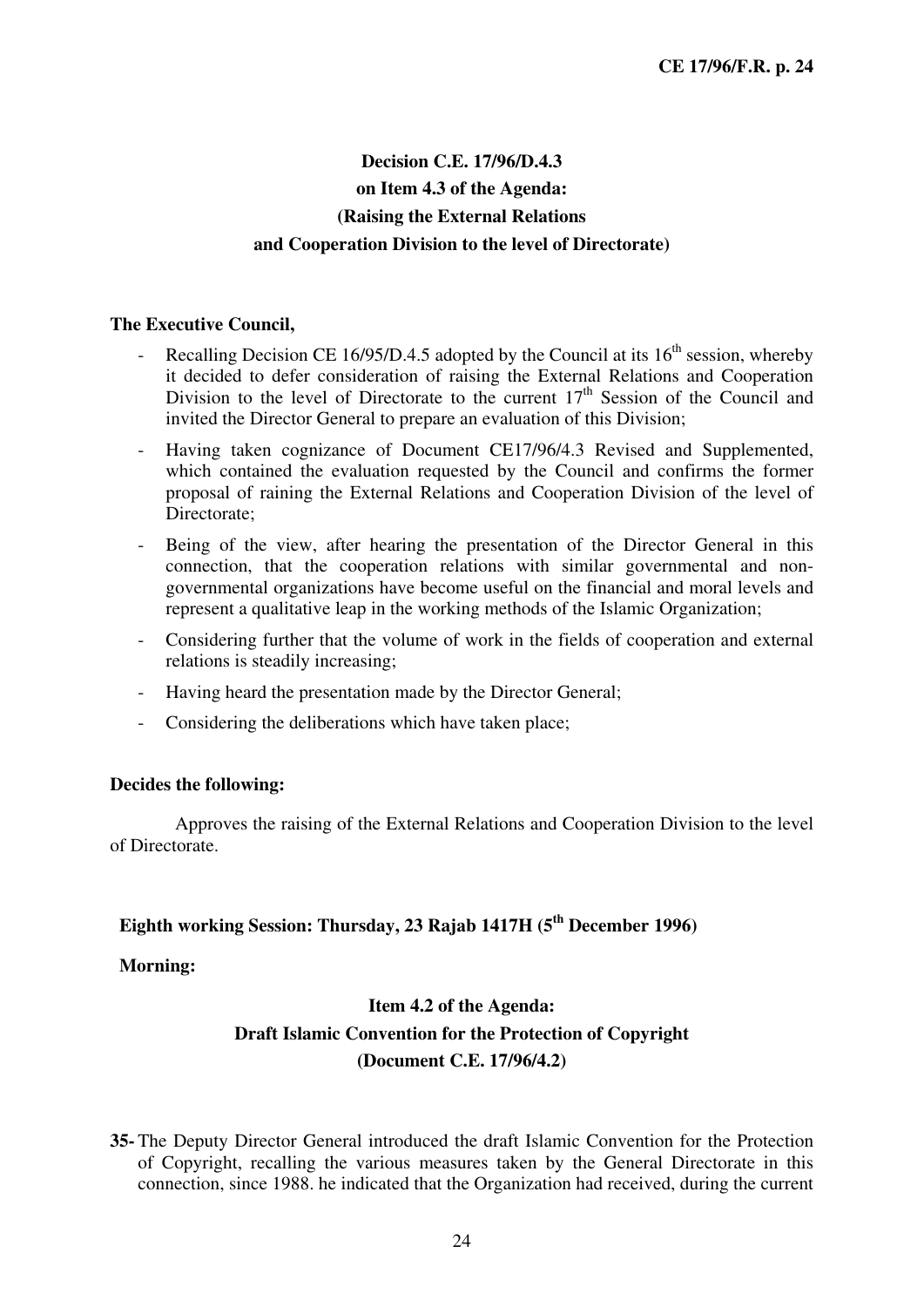### **Decision C.E. 17/96/D.4.3 on Item 4.3 of the Agenda: (Raising the External Relations and Cooperation Division to the level of Directorate)**

#### **The Executive Council,**

- Recalling Decision CE 16/95/D.4.5 adopted by the Council at its  $16<sup>th</sup>$  session, whereby it decided to defer consideration of raising the External Relations and Cooperation Division to the level of Directorate to the current  $17<sup>th</sup>$  Session of the Council and invited the Director General to prepare an evaluation of this Division;
- Having taken cognizance of Document CE17/96/4.3 Revised and Supplemented, which contained the evaluation requested by the Council and confirms the former proposal of raining the External Relations and Cooperation Division of the level of Directorate;
- Being of the view, after hearing the presentation of the Director General in this connection, that the cooperation relations with similar governmental and nongovernmental organizations have become useful on the financial and moral levels and represent a qualitative leap in the working methods of the Islamic Organization;
- Considering further that the volume of work in the fields of cooperation and external relations is steadily increasing;
- Having heard the presentation made by the Director General;
- Considering the deliberations which have taken place;

#### **Decides the following:**

Approves the raising of the External Relations and Cooperation Division to the level of Directorate.

### **Eighth working Session: Thursday, 23 Rajab 1417H (5th December 1996)**

#### **Morning:**

### **Item 4.2 of the Agenda: Draft Islamic Convention for the Protection of Copyright (Document C.E. 17/96/4.2)**

**35-** The Deputy Director General introduced the draft Islamic Convention for the Protection of Copyright, recalling the various measures taken by the General Directorate in this connection, since 1988. he indicated that the Organization had received, during the current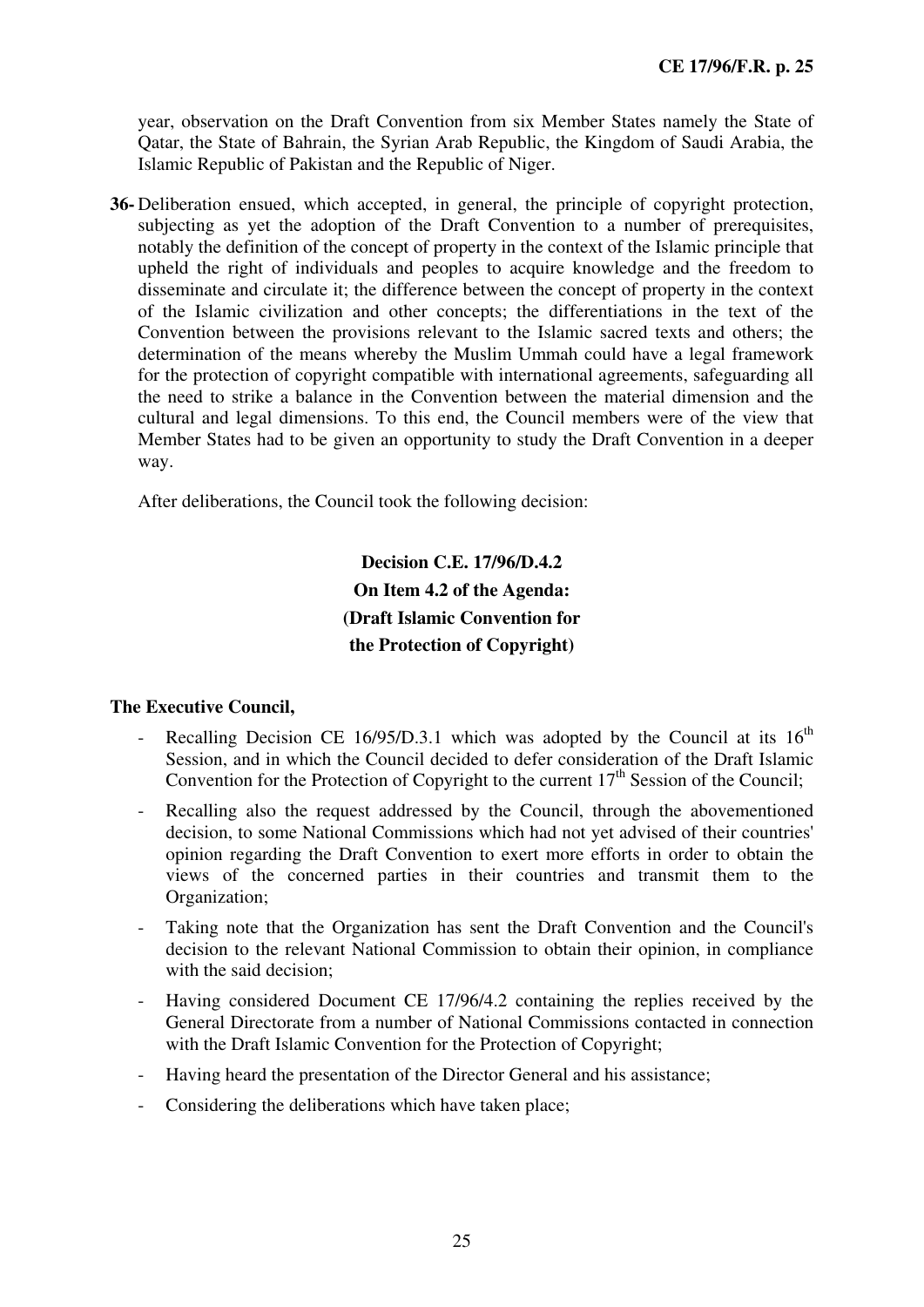year, observation on the Draft Convention from six Member States namely the State of Qatar, the State of Bahrain, the Syrian Arab Republic, the Kingdom of Saudi Arabia, the Islamic Republic of Pakistan and the Republic of Niger.

**36-** Deliberation ensued, which accepted, in general, the principle of copyright protection, subjecting as yet the adoption of the Draft Convention to a number of prerequisites, notably the definition of the concept of property in the context of the Islamic principle that upheld the right of individuals and peoples to acquire knowledge and the freedom to disseminate and circulate it; the difference between the concept of property in the context of the Islamic civilization and other concepts; the differentiations in the text of the Convention between the provisions relevant to the Islamic sacred texts and others; the determination of the means whereby the Muslim Ummah could have a legal framework for the protection of copyright compatible with international agreements, safeguarding all the need to strike a balance in the Convention between the material dimension and the cultural and legal dimensions. To this end, the Council members were of the view that Member States had to be given an opportunity to study the Draft Convention in a deeper way.

After deliberations, the Council took the following decision:

**Decision C.E. 17/96/D.4.2 On Item 4.2 of the Agenda: (Draft Islamic Convention for the Protection of Copyright)** 

- Recalling Decision CE 16/95/D.3.1 which was adopted by the Council at its  $16<sup>th</sup>$ Session, and in which the Council decided to defer consideration of the Draft Islamic Convention for the Protection of Copyright to the current  $17<sup>th</sup>$  Session of the Council;
- Recalling also the request addressed by the Council, through the abovementioned decision, to some National Commissions which had not yet advised of their countries' opinion regarding the Draft Convention to exert more efforts in order to obtain the views of the concerned parties in their countries and transmit them to the Organization;
- Taking note that the Organization has sent the Draft Convention and the Council's decision to the relevant National Commission to obtain their opinion, in compliance with the said decision:
- Having considered Document CE 17/96/4.2 containing the replies received by the General Directorate from a number of National Commissions contacted in connection with the Draft Islamic Convention for the Protection of Copyright;
- Having heard the presentation of the Director General and his assistance;
- Considering the deliberations which have taken place;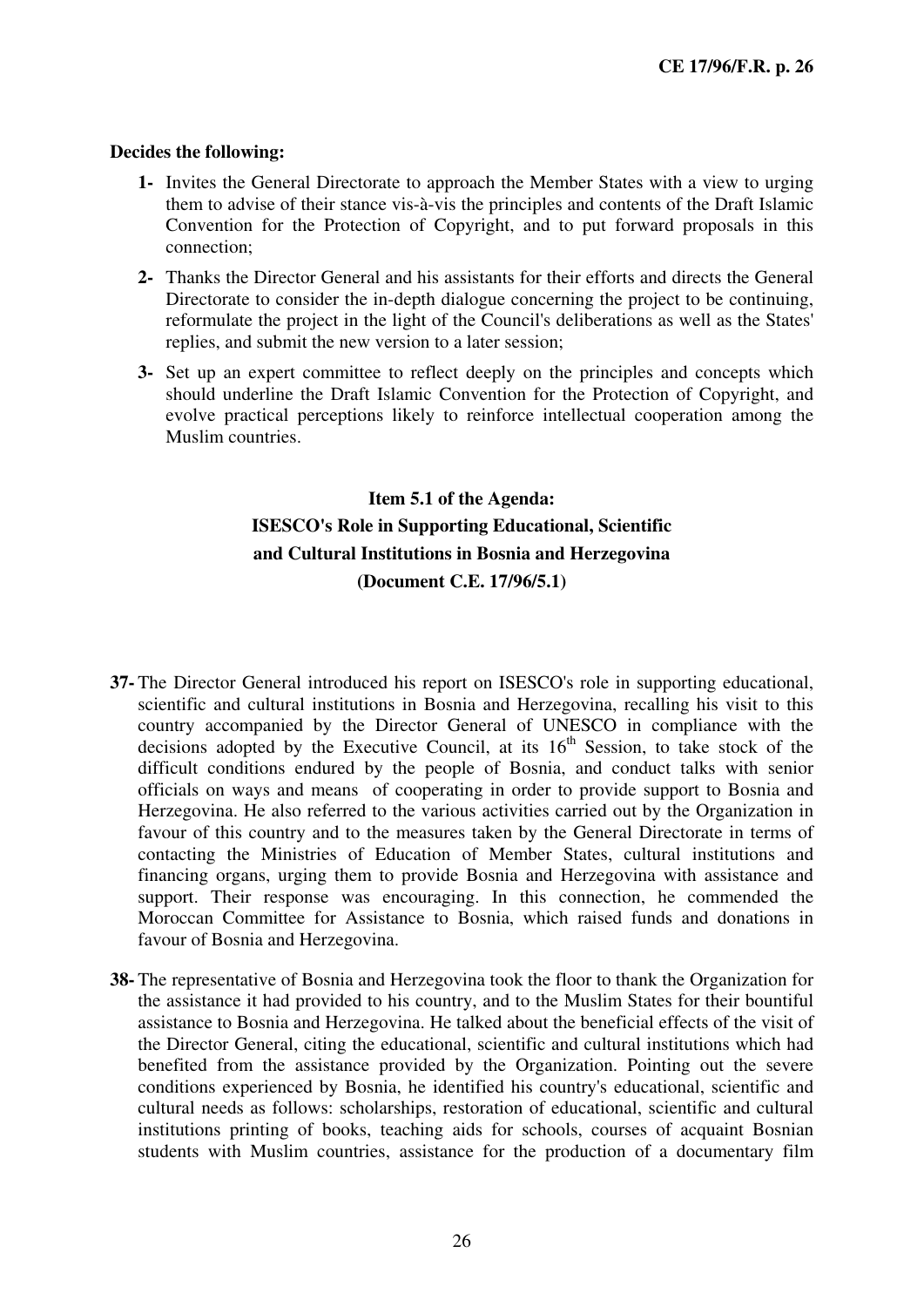- **1-** Invites the General Directorate to approach the Member States with a view to urging them to advise of their stance vis-à-vis the principles and contents of the Draft Islamic Convention for the Protection of Copyright, and to put forward proposals in this connection;
- **2-** Thanks the Director General and his assistants for their efforts and directs the General Directorate to consider the in-depth dialogue concerning the project to be continuing, reformulate the project in the light of the Council's deliberations as well as the States' replies, and submit the new version to a later session;
- **3-** Set up an expert committee to reflect deeply on the principles and concepts which should underline the Draft Islamic Convention for the Protection of Copyright, and evolve practical perceptions likely to reinforce intellectual cooperation among the Muslim countries.

### **Item 5.1 of the Agenda: ISESCO's Role in Supporting Educational, Scientific and Cultural Institutions in Bosnia and Herzegovina (Document C.E. 17/96/5.1)**

- **37-** The Director General introduced his report on ISESCO's role in supporting educational, scientific and cultural institutions in Bosnia and Herzegovina, recalling his visit to this country accompanied by the Director General of UNESCO in compliance with the decisions adopted by the Executive Council, at its  $16<sup>th</sup>$  Session, to take stock of the difficult conditions endured by the people of Bosnia, and conduct talks with senior officials on ways and means of cooperating in order to provide support to Bosnia and Herzegovina. He also referred to the various activities carried out by the Organization in favour of this country and to the measures taken by the General Directorate in terms of contacting the Ministries of Education of Member States, cultural institutions and financing organs, urging them to provide Bosnia and Herzegovina with assistance and support. Their response was encouraging. In this connection, he commended the Moroccan Committee for Assistance to Bosnia, which raised funds and donations in favour of Bosnia and Herzegovina.
- **38-** The representative of Bosnia and Herzegovina took the floor to thank the Organization for the assistance it had provided to his country, and to the Muslim States for their bountiful assistance to Bosnia and Herzegovina. He talked about the beneficial effects of the visit of the Director General, citing the educational, scientific and cultural institutions which had benefited from the assistance provided by the Organization. Pointing out the severe conditions experienced by Bosnia, he identified his country's educational, scientific and cultural needs as follows: scholarships, restoration of educational, scientific and cultural institutions printing of books, teaching aids for schools, courses of acquaint Bosnian students with Muslim countries, assistance for the production of a documentary film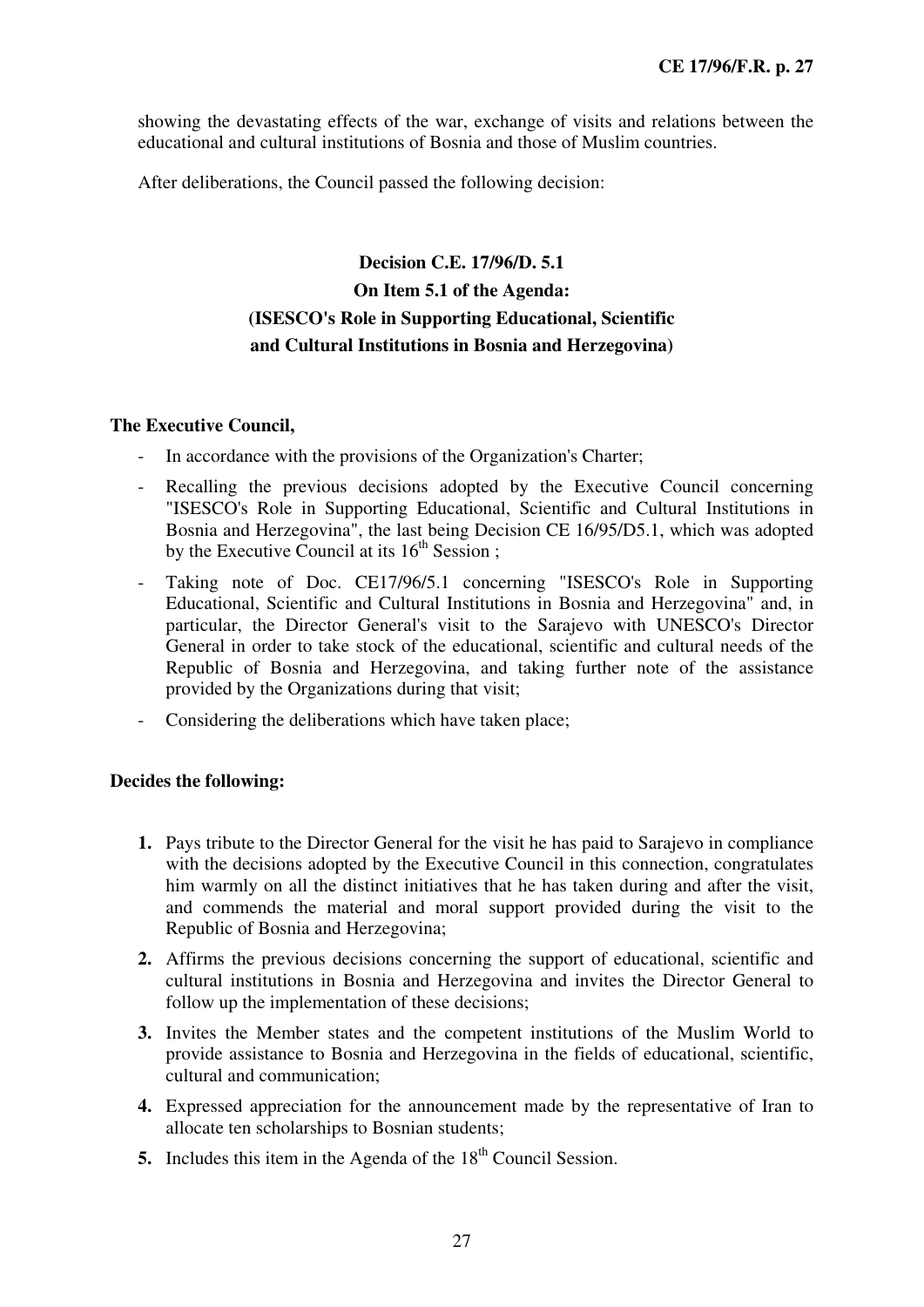showing the devastating effects of the war, exchange of visits and relations between the educational and cultural institutions of Bosnia and those of Muslim countries.

After deliberations, the Council passed the following decision:

### **Decision C.E. 17/96/D. 5.1 On Item 5.1 of the Agenda: (ISESCO's Role in Supporting Educational, Scientific and Cultural Institutions in Bosnia and Herzegovina)**

#### **The Executive Council,**

- In accordance with the provisions of the Organization's Charter;
- Recalling the previous decisions adopted by the Executive Council concerning "ISESCO's Role in Supporting Educational, Scientific and Cultural Institutions in Bosnia and Herzegovina", the last being Decision CE 16/95/D5.1, which was adopted by the Executive Council at its  $16<sup>th</sup>$  Session;
- Taking note of Doc. CE17/96/5.1 concerning "ISESCO's Role in Supporting Educational, Scientific and Cultural Institutions in Bosnia and Herzegovina" and, in particular, the Director General's visit to the Sarajevo with UNESCO's Director General in order to take stock of the educational, scientific and cultural needs of the Republic of Bosnia and Herzegovina, and taking further note of the assistance provided by the Organizations during that visit;
- Considering the deliberations which have taken place;

#### **Decides the following:**

- **1.** Pays tribute to the Director General for the visit he has paid to Sarajevo in compliance with the decisions adopted by the Executive Council in this connection, congratulates him warmly on all the distinct initiatives that he has taken during and after the visit, and commends the material and moral support provided during the visit to the Republic of Bosnia and Herzegovina;
- **2.** Affirms the previous decisions concerning the support of educational, scientific and cultural institutions in Bosnia and Herzegovina and invites the Director General to follow up the implementation of these decisions;
- **3.** Invites the Member states and the competent institutions of the Muslim World to provide assistance to Bosnia and Herzegovina in the fields of educational, scientific, cultural and communication;
- **4.** Expressed appreciation for the announcement made by the representative of Iran to allocate ten scholarships to Bosnian students;
- **5.** Includes this item in the Agenda of the 18<sup>th</sup> Council Session.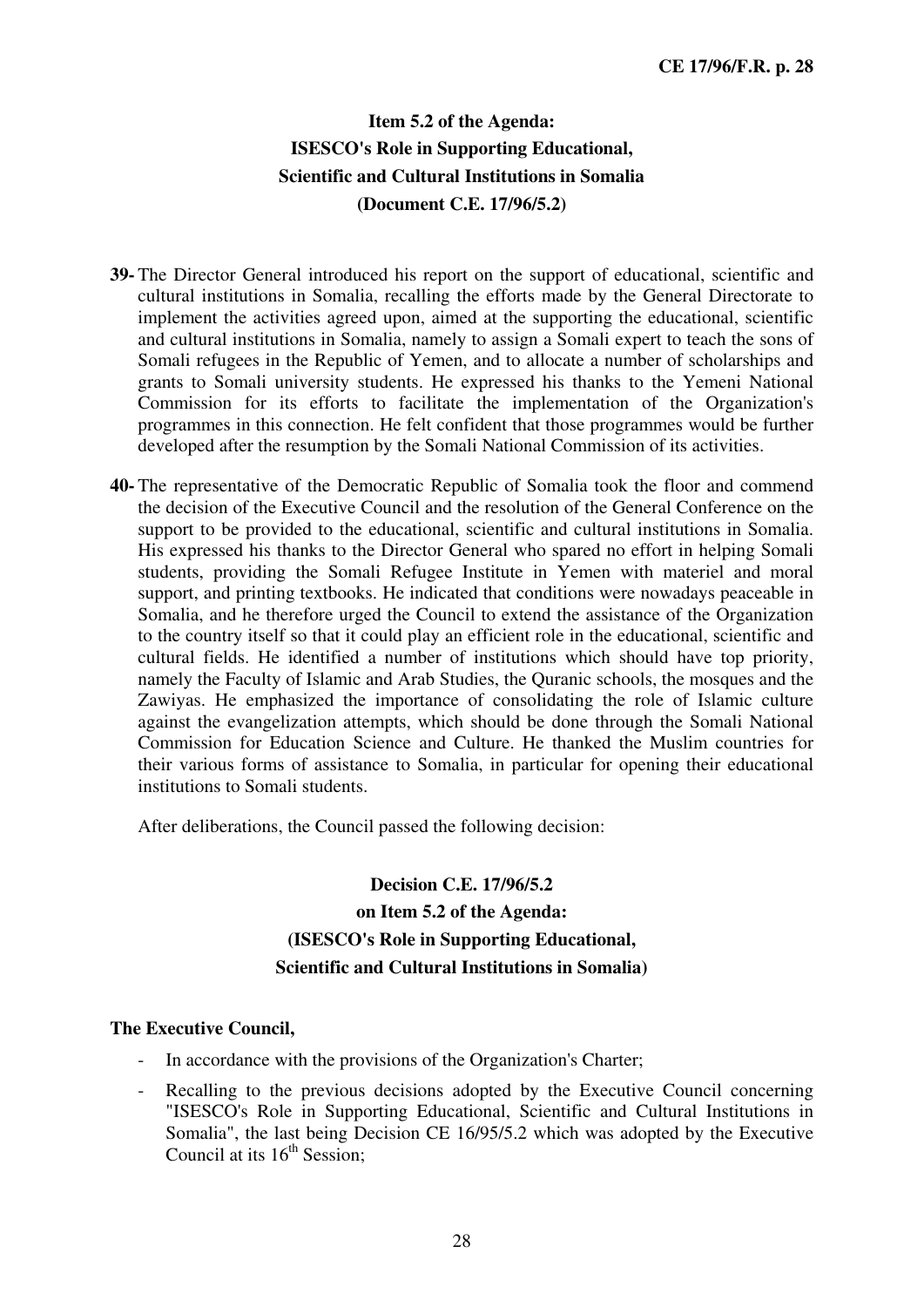### **Item 5.2 of the Agenda: ISESCO's Role in Supporting Educational, Scientific and Cultural Institutions in Somalia (Document C.E. 17/96/5.2)**

- **39-** The Director General introduced his report on the support of educational, scientific and cultural institutions in Somalia, recalling the efforts made by the General Directorate to implement the activities agreed upon, aimed at the supporting the educational, scientific and cultural institutions in Somalia, namely to assign a Somali expert to teach the sons of Somali refugees in the Republic of Yemen, and to allocate a number of scholarships and grants to Somali university students. He expressed his thanks to the Yemeni National Commission for its efforts to facilitate the implementation of the Organization's programmes in this connection. He felt confident that those programmes would be further developed after the resumption by the Somali National Commission of its activities.
- **40-** The representative of the Democratic Republic of Somalia took the floor and commend the decision of the Executive Council and the resolution of the General Conference on the support to be provided to the educational, scientific and cultural institutions in Somalia. His expressed his thanks to the Director General who spared no effort in helping Somali students, providing the Somali Refugee Institute in Yemen with materiel and moral support, and printing textbooks. He indicated that conditions were nowadays peaceable in Somalia, and he therefore urged the Council to extend the assistance of the Organization to the country itself so that it could play an efficient role in the educational, scientific and cultural fields. He identified a number of institutions which should have top priority, namely the Faculty of Islamic and Arab Studies, the Quranic schools, the mosques and the Zawiyas. He emphasized the importance of consolidating the role of Islamic culture against the evangelization attempts, which should be done through the Somali National Commission for Education Science and Culture. He thanked the Muslim countries for their various forms of assistance to Somalia, in particular for opening their educational institutions to Somali students.

After deliberations, the Council passed the following decision:

### **Decision C.E. 17/96/5.2 on Item 5.2 of the Agenda: (ISESCO's Role in Supporting Educational, Scientific and Cultural Institutions in Somalia)**

- In accordance with the provisions of the Organization's Charter;
- Recalling to the previous decisions adopted by the Executive Council concerning "ISESCO's Role in Supporting Educational, Scientific and Cultural Institutions in Somalia", the last being Decision CE 16/95/5.2 which was adopted by the Executive Council at its  $16<sup>th</sup>$  Session;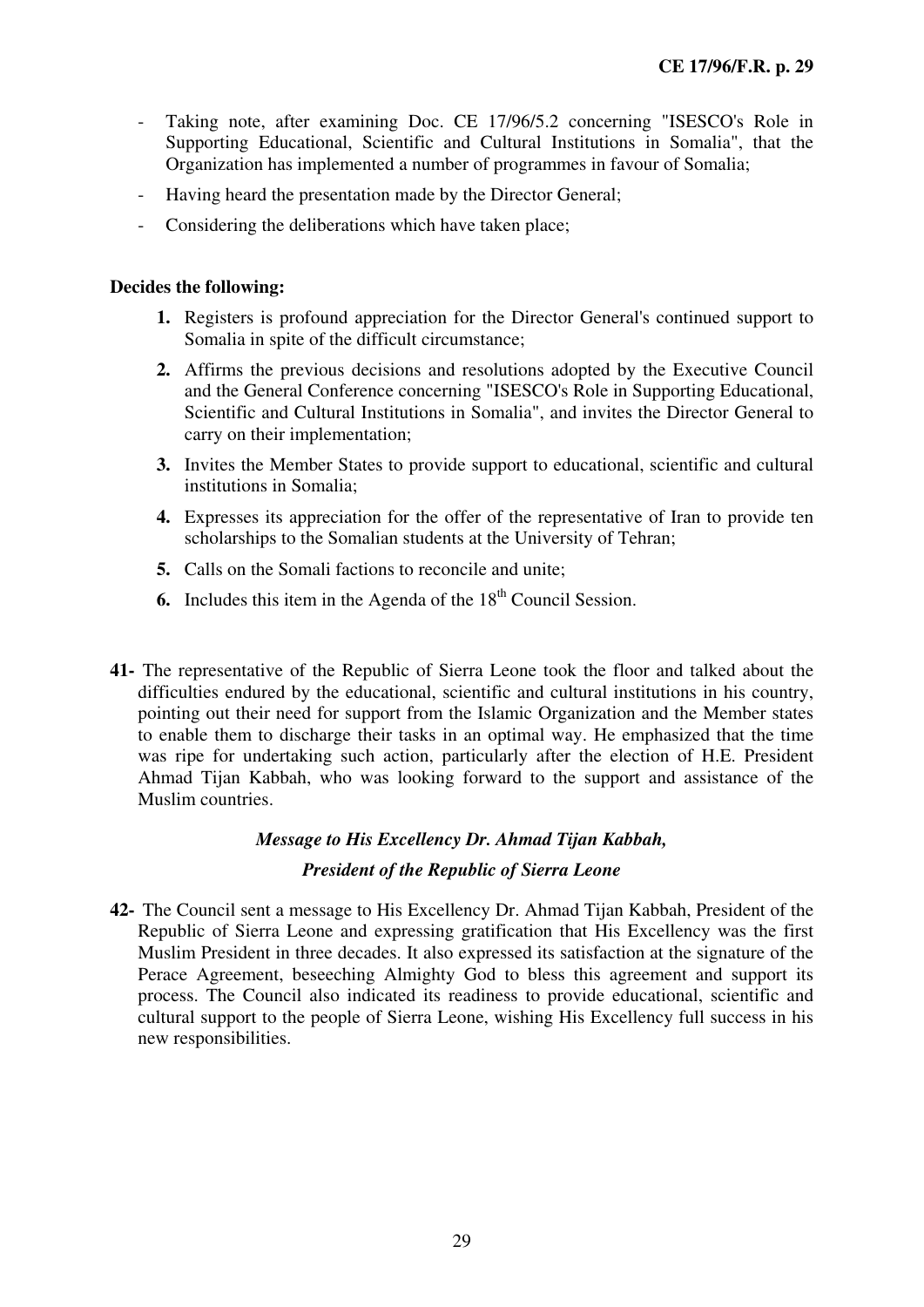- Taking note, after examining Doc. CE 17/96/5.2 concerning "ISESCO's Role in Supporting Educational, Scientific and Cultural Institutions in Somalia", that the Organization has implemented a number of programmes in favour of Somalia;
- Having heard the presentation made by the Director General;
- Considering the deliberations which have taken place;

- **1.** Registers is profound appreciation for the Director General's continued support to Somalia in spite of the difficult circumstance;
- **2.** Affirms the previous decisions and resolutions adopted by the Executive Council and the General Conference concerning "ISESCO's Role in Supporting Educational, Scientific and Cultural Institutions in Somalia", and invites the Director General to carry on their implementation;
- **3.** Invites the Member States to provide support to educational, scientific and cultural institutions in Somalia;
- **4.** Expresses its appreciation for the offer of the representative of Iran to provide ten scholarships to the Somalian students at the University of Tehran;
- **5.** Calls on the Somali factions to reconcile and unite;
- **6.** Includes this item in the Agenda of the 18<sup>th</sup> Council Session.
- **41-** The representative of the Republic of Sierra Leone took the floor and talked about the difficulties endured by the educational, scientific and cultural institutions in his country, pointing out their need for support from the Islamic Organization and the Member states to enable them to discharge their tasks in an optimal way. He emphasized that the time was ripe for undertaking such action, particularly after the election of H.E. President Ahmad Tijan Kabbah, who was looking forward to the support and assistance of the Muslim countries.

#### *Message to His Excellency Dr. Ahmad Tijan Kabbah,*

#### *President of the Republic of Sierra Leone*

**42-** The Council sent a message to His Excellency Dr. Ahmad Tijan Kabbah, President of the Republic of Sierra Leone and expressing gratification that His Excellency was the first Muslim President in three decades. It also expressed its satisfaction at the signature of the Perace Agreement, beseeching Almighty God to bless this agreement and support its process. The Council also indicated its readiness to provide educational, scientific and cultural support to the people of Sierra Leone, wishing His Excellency full success in his new responsibilities.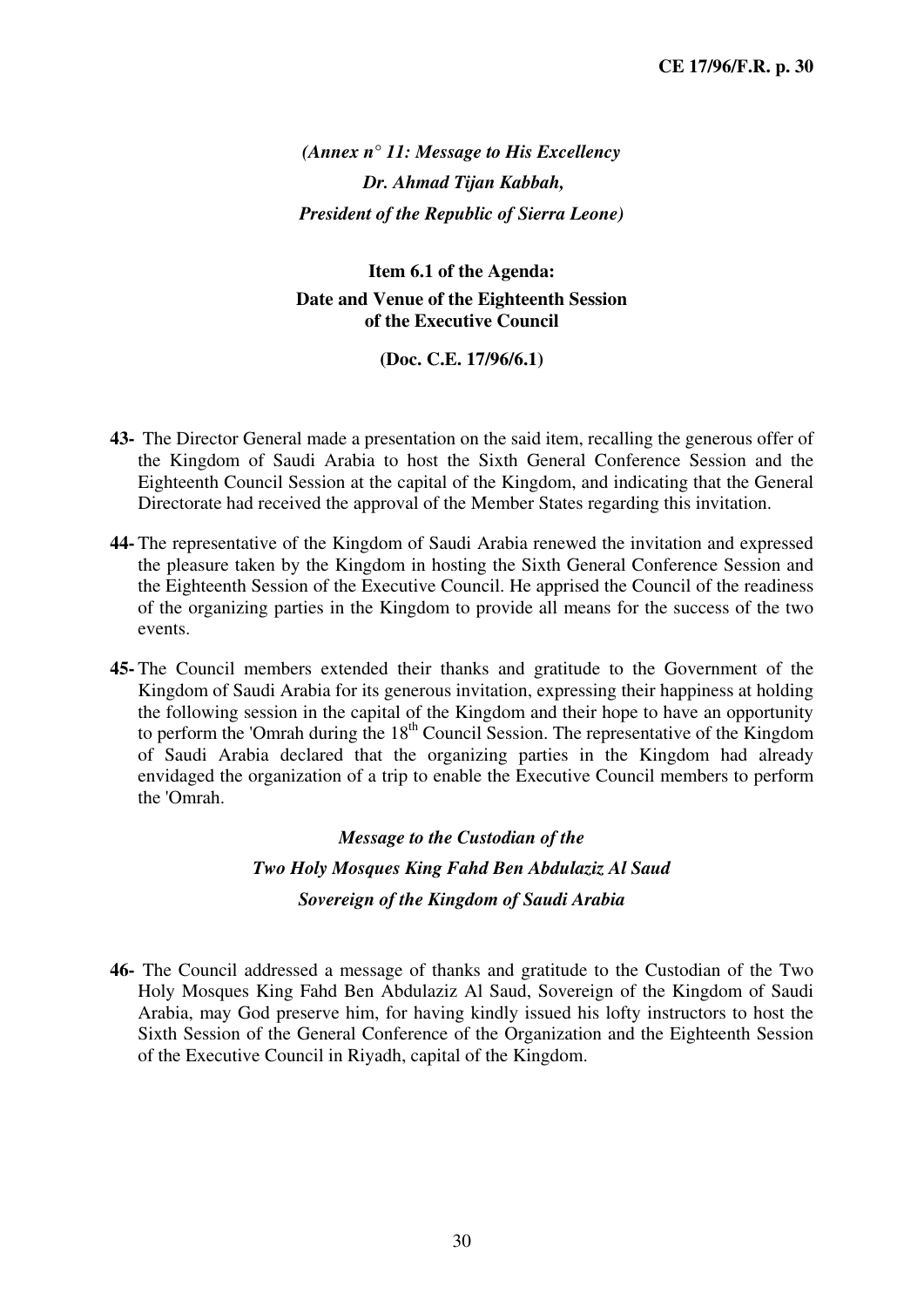*(Annex n° 11: Message to His Excellency Dr. Ahmad Tijan Kabbah, President of the Republic of Sierra Leone)* 

**Item 6.1 of the Agenda: Date and Venue of the Eighteenth Session of the Executive Council** 

**(Doc. C.E. 17/96/6.1)** 

- **43-** The Director General made a presentation on the said item, recalling the generous offer of the Kingdom of Saudi Arabia to host the Sixth General Conference Session and the Eighteenth Council Session at the capital of the Kingdom, and indicating that the General Directorate had received the approval of the Member States regarding this invitation.
- **44-** The representative of the Kingdom of Saudi Arabia renewed the invitation and expressed the pleasure taken by the Kingdom in hosting the Sixth General Conference Session and the Eighteenth Session of the Executive Council. He apprised the Council of the readiness of the organizing parties in the Kingdom to provide all means for the success of the two events.
- **45-** The Council members extended their thanks and gratitude to the Government of the Kingdom of Saudi Arabia for its generous invitation, expressing their happiness at holding the following session in the capital of the Kingdom and their hope to have an opportunity to perform the 'Omrah during the  $18<sup>th</sup>$  Council Session. The representative of the Kingdom of Saudi Arabia declared that the organizing parties in the Kingdom had already envidaged the organization of a trip to enable the Executive Council members to perform the 'Omrah.

#### *Message to the Custodian of the*

### *Two Holy Mosques King Fahd Ben Abdulaziz Al Saud Sovereign of the Kingdom of Saudi Arabia*

**46-** The Council addressed a message of thanks and gratitude to the Custodian of the Two Holy Mosques King Fahd Ben Abdulaziz Al Saud, Sovereign of the Kingdom of Saudi Arabia, may God preserve him, for having kindly issued his lofty instructors to host the Sixth Session of the General Conference of the Organization and the Eighteenth Session of the Executive Council in Riyadh, capital of the Kingdom.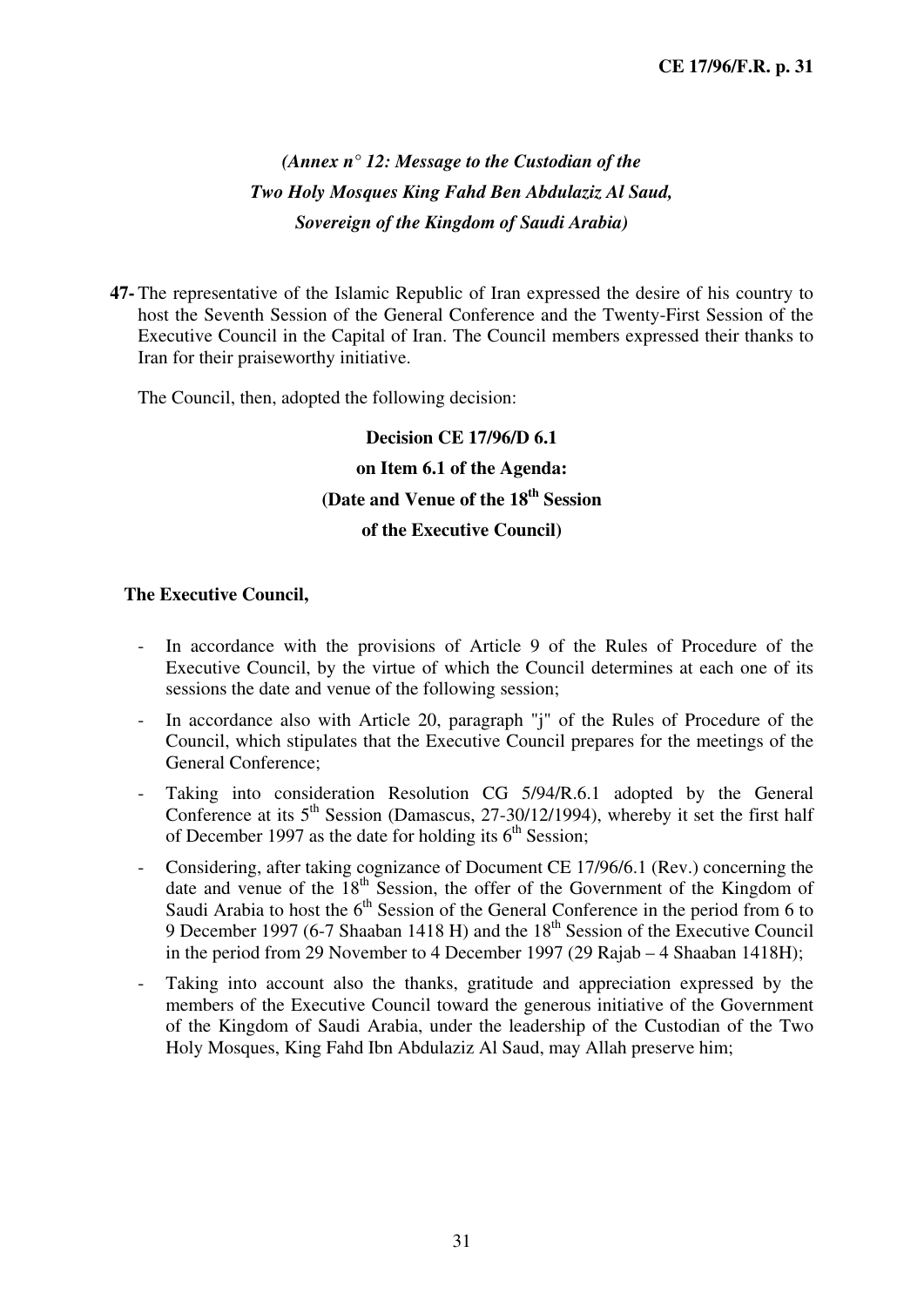### *(Annex n° 12: Message to the Custodian of the Two Holy Mosques King Fahd Ben Abdulaziz Al Saud, Sovereign of the Kingdom of Saudi Arabia)*

**47-** The representative of the Islamic Republic of Iran expressed the desire of his country to host the Seventh Session of the General Conference and the Twenty-First Session of the Executive Council in the Capital of Iran. The Council members expressed their thanks to Iran for their praiseworthy initiative.

The Council, then, adopted the following decision:

# **Decision CE 17/96/D 6.1 on Item 6.1 of the Agenda: (Date and Venue of the 18th Session**

#### **of the Executive Council)**

- In accordance with the provisions of Article 9 of the Rules of Procedure of the Executive Council, by the virtue of which the Council determines at each one of its sessions the date and venue of the following session;
- In accordance also with Article 20, paragraph "j" of the Rules of Procedure of the Council, which stipulates that the Executive Council prepares for the meetings of the General Conference;
- Taking into consideration Resolution CG 5/94/R.6.1 adopted by the General Conference at its  $5<sup>th</sup>$  Session (Damascus, 27-30/12/1994), whereby it set the first half of December 1997 as the date for holding its  $6<sup>th</sup>$  Session;
- Considering, after taking cognizance of Document CE 17/96/6.1 (Rev.) concerning the date and venue of the 18<sup>th</sup> Session, the offer of the Government of the Kingdom of Saudi Arabia to host the  $6<sup>th</sup>$  Session of the General Conference in the period from 6 to 9 December 1997 (6-7 Shaaban 1418 H) and the 18<sup>th</sup> Session of the Executive Council in the period from 29 November to 4 December 1997 (29 Rajab – 4 Shaaban 1418H);
- Taking into account also the thanks, gratitude and appreciation expressed by the members of the Executive Council toward the generous initiative of the Government of the Kingdom of Saudi Arabia, under the leadership of the Custodian of the Two Holy Mosques, King Fahd Ibn Abdulaziz Al Saud, may Allah preserve him;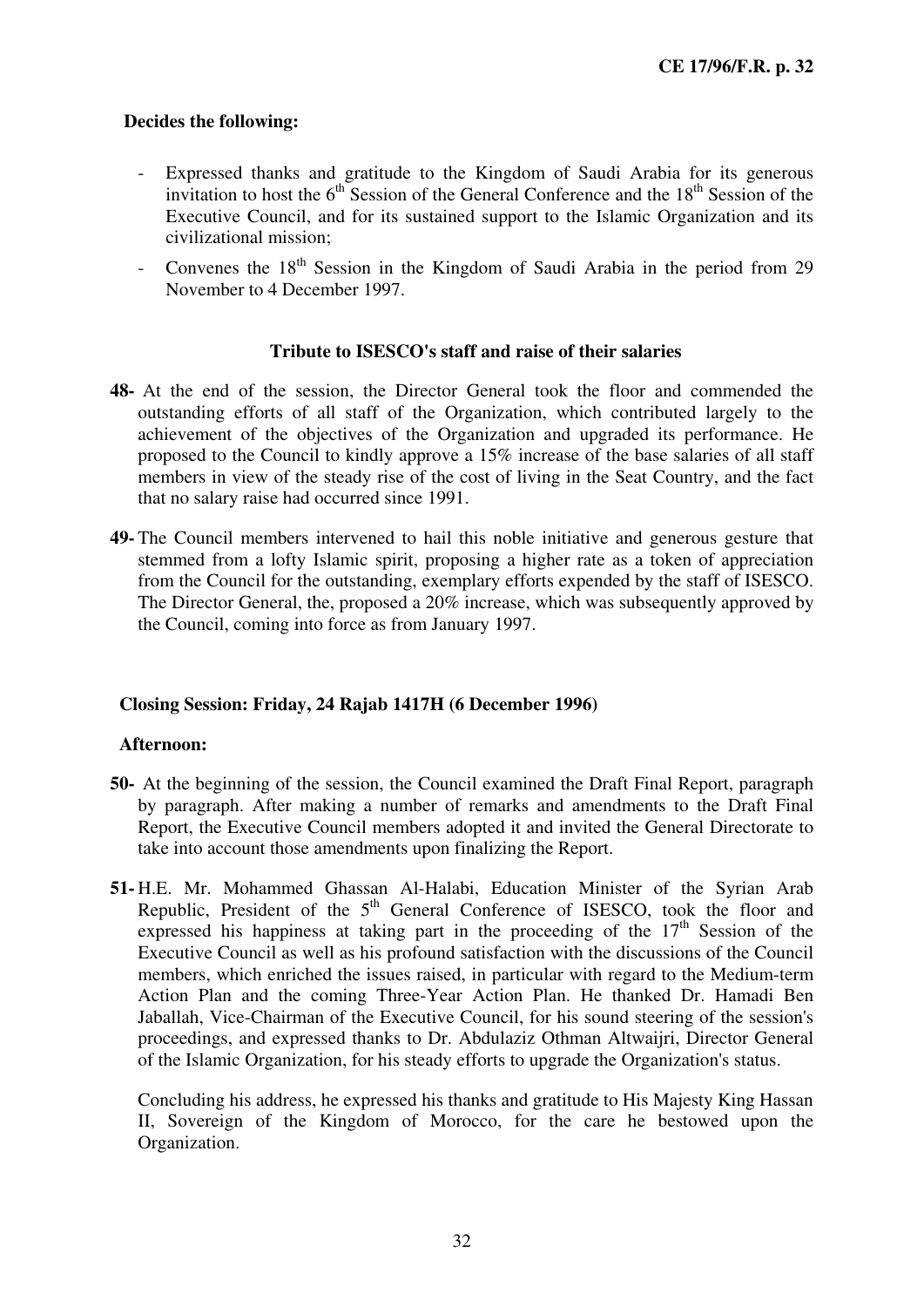- Expressed thanks and gratitude to the Kingdom of Saudi Arabia for its generous invitation to host the  $6<sup>th</sup>$  Session of the General Conference and the  $18<sup>th</sup>$  Session of the Executive Council, and for its sustained support to the Islamic Organization and its civilizational mission;
- Convenes the  $18<sup>th</sup>$  Session in the Kingdom of Saudi Arabia in the period from 29 November to 4 December 1997.

#### **Tribute to ISESCO's staff and raise of their salaries**

- **48-** At the end of the session, the Director General took the floor and commended the outstanding efforts of all staff of the Organization, which contributed largely to the achievement of the objectives of the Organization and upgraded its performance. He proposed to the Council to kindly approve a 15% increase of the base salaries of all staff members in view of the steady rise of the cost of living in the Seat Country, and the fact that no salary raise had occurred since 1991.
- **49-** The Council members intervened to hail this noble initiative and generous gesture that stemmed from a lofty Islamic spirit, proposing a higher rate as a token of appreciation from the Council for the outstanding, exemplary efforts expended by the staff of ISESCO. The Director General, the, proposed a 20% increase, which was subsequently approved by the Council, coming into force as from January 1997.

#### **Closing Session: Friday, 24 Rajab 1417H (6 December 1996)**

#### **Afternoon:**

- **50-** At the beginning of the session, the Council examined the Draft Final Report, paragraph by paragraph. After making a number of remarks and amendments to the Draft Final Report, the Executive Council members adopted it and invited the General Directorate to take into account those amendments upon finalizing the Report.
- **51-** H.E. Mr. Mohammed Ghassan Al-Halabi, Education Minister of the Syrian Arab Republic, President of the  $5<sup>th</sup>$  General Conference of ISESCO, took the floor and expressed his happiness at taking part in the proceeding of the  $17<sup>th</sup>$  Session of the Executive Council as well as his profound satisfaction with the discussions of the Council members, which enriched the issues raised, in particular with regard to the Medium-term Action Plan and the coming Three-Year Action Plan. He thanked Dr. Hamadi Ben Jaballah, Vice-Chairman of the Executive Council, for his sound steering of the session's proceedings, and expressed thanks to Dr. Abdulaziz Othman Altwaijri, Director General of the Islamic Organization, for his steady efforts to upgrade the Organization's status.

Concluding his address, he expressed his thanks and gratitude to His Majesty King Hassan II, Sovereign of the Kingdom of Morocco, for the care he bestowed upon the Organization.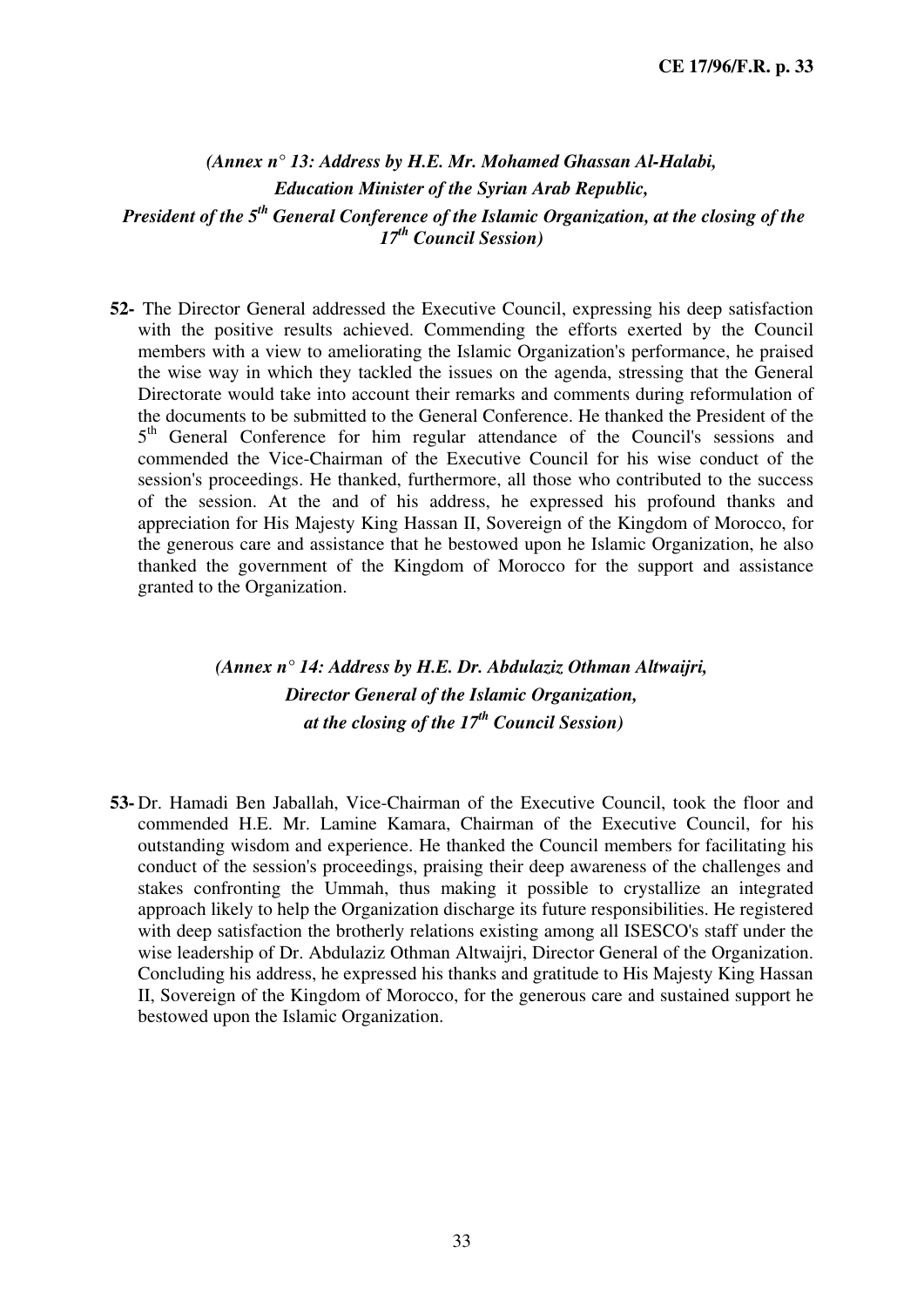### *(Annex n° 13: Address by H.E. Mr. Mohamed Ghassan Al-Halabi, Education Minister of the Syrian Arab Republic, President of the 5th General Conference of the Islamic Organization, at the closing of the 17th Council Session)*

**52-** The Director General addressed the Executive Council, expressing his deep satisfaction with the positive results achieved. Commending the efforts exerted by the Council members with a view to ameliorating the Islamic Organization's performance, he praised the wise way in which they tackled the issues on the agenda, stressing that the General Directorate would take into account their remarks and comments during reformulation of the documents to be submitted to the General Conference. He thanked the President of the 5<sup>th</sup> General Conference for him regular attendance of the Council's sessions and commended the Vice-Chairman of the Executive Council for his wise conduct of the session's proceedings. He thanked, furthermore, all those who contributed to the success of the session. At the and of his address, he expressed his profound thanks and appreciation for His Majesty King Hassan II, Sovereign of the Kingdom of Morocco, for the generous care and assistance that he bestowed upon he Islamic Organization, he also thanked the government of the Kingdom of Morocco for the support and assistance granted to the Organization.

### *(Annex n° 14: Address by H.E. Dr. Abdulaziz Othman Altwaijri, Director General of the Islamic Organization, at the closing of the 17th Council Session)*

**53-** Dr. Hamadi Ben Jaballah, Vice-Chairman of the Executive Council, took the floor and commended H.E. Mr. Lamine Kamara, Chairman of the Executive Council, for his outstanding wisdom and experience. He thanked the Council members for facilitating his conduct of the session's proceedings, praising their deep awareness of the challenges and stakes confronting the Ummah, thus making it possible to crystallize an integrated approach likely to help the Organization discharge its future responsibilities. He registered with deep satisfaction the brotherly relations existing among all ISESCO's staff under the wise leadership of Dr. Abdulaziz Othman Altwaijri, Director General of the Organization. Concluding his address, he expressed his thanks and gratitude to His Majesty King Hassan II, Sovereign of the Kingdom of Morocco, for the generous care and sustained support he bestowed upon the Islamic Organization.